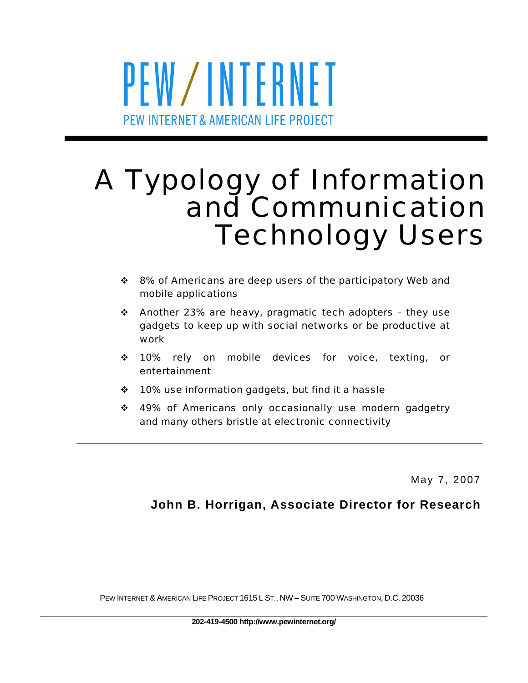# PEW/INTERNET PEW INTERNET & AMERICAN LIFE PROJECT

## A Typology of Information and Communication Technology Users

- 8% of Americans are deep users of the participatory Web and mobile applications
- Another 23% are heavy, pragmatic tech adopters they use gadgets to keep up with social networks or be productive at work
- 10% rely on mobile devices for voice, texting, or entertainment
- 10% use information gadgets, but find it a hassle
- 49% of Americans only occasionally use modern gadgetry and many others bristle at electronic connectivity

May 7, 2007

### **John B. Horrigan, Associate Director for Research**

PEW INTERNET & AMERICAN LIFE PROJECT 1615 L ST., NW – SUITE 700 WASHINGTON, D.C. 20036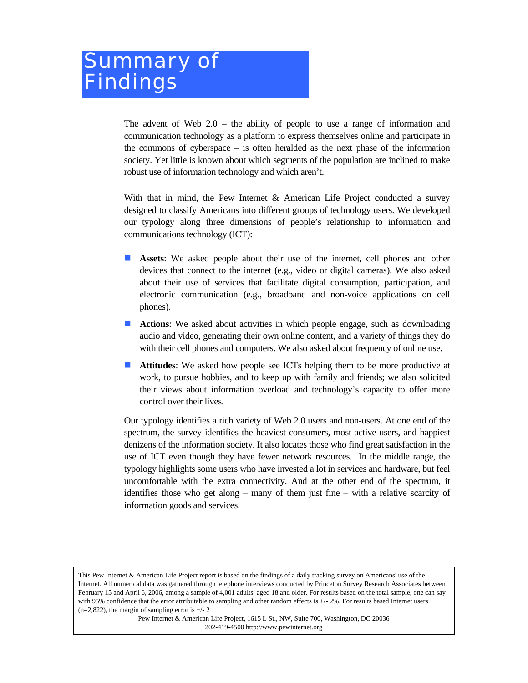The advent of Web 2.0 – the ability of people to use a range of information and communication technology as a platform to express themselves online and participate in the commons of cyberspace  $-$  is often heralded as the next phase of the information society. Yet little is known about which segments of the population are inclined to make robust use of information technology and which aren't.

With that in mind, the Pew Internet & American Life Project conducted a survey designed to classify Americans into different groups of technology users. We developed our typology along three dimensions of people's relationship to information and communications technology (ICT):

- **Assets**: We asked people about their use of the internet, cell phones and other devices that connect to the internet (e.g., video or digital cameras). We also asked about their use of services that facilitate digital consumption, participation, and electronic communication (e.g., broadband and non-voice applications on cell phones).
- **Actions**: We asked about activities in which people engage, such as downloading audio and video, generating their own online content, and a variety of things they do with their cell phones and computers. We also asked about frequency of online use.
- **Attitudes**: We asked how people see ICTs helping them to be more productive at work, to pursue hobbies, and to keep up with family and friends; we also solicited their views about information overload and technology's capacity to offer more control over their lives.

Our typology identifies a rich variety of Web 2.0 users and non-users. At one end of the spectrum, the survey identifies the heaviest consumers, most active users, and happiest denizens of the information society. It also locates those who find great satisfaction in the use of ICT even though they have fewer network resources. In the middle range, the typology highlights some users who have invested a lot in services and hardware, but feel uncomfortable with the extra connectivity. And at the other end of the spectrum, it identifies those who get along – many of them just fine – with a relative scarcity of information goods and services.

This Pew Internet & American Life Project report is based on the findings of a daily tracking survey on Americans' use of the Internet. All numerical data was gathered through telephone interviews conducted by Princeton Survey Research Associates between February 15 and April 6, 2006, among a sample of 4,001 adults, aged 18 and older. For results based on the total sample, one can say with 95% confidence that the error attributable to sampling and other random effects is  $+/- 2\%$ . For results based Internet users  $(n=2,822)$ , the margin of sampling error is  $+/- 2$ 

> Pew Internet & American Life Project, 1615 L St., NW, Suite 700, Washington, DC 20036 202-419-4500 http://www.pewinternet.org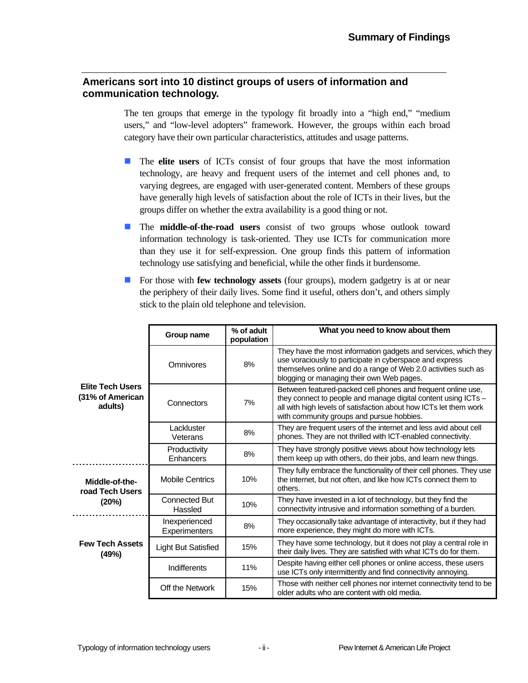#### **Americans sort into 10 distinct groups of users of information and communication technology.**

The ten groups that emerge in the typology fit broadly into a "high end," "medium users," and "low-level adopters" framework. However, the groups within each broad category have their own particular characteristics, attitudes and usage patterns.

- **The elite users** of ICTs consist of four groups that have the most information technology, are heavy and frequent users of the internet and cell phones and, to varying degrees, are engaged with user-generated content. Members of these groups have generally high levels of satisfaction about the role of ICTs in their lives, but the groups differ on whether the extra availability is a good thing or not.
- **The middle-of-the-road users** consist of two groups whose outlook toward information technology is task-oriented. They use ICTs for communication more than they use it for self-expression. One group finds this pattern of information technology use satisfying and beneficial, while the other finds it burdensome.
- **For those with few technology assets** (four groups), modern gadgetry is at or near the periphery of their daily lives. Some find it useful, others don't, and others simply stick to the plain old telephone and television.

|                                                        | Group name                      | % of adult<br>population | What you need to know about them                                                                                                                                                                                                                 |
|--------------------------------------------------------|---------------------------------|--------------------------|--------------------------------------------------------------------------------------------------------------------------------------------------------------------------------------------------------------------------------------------------|
| <b>Elite Tech Users</b><br>(31% of American<br>adults) | Omnivores                       | 8%                       | They have the most information gadgets and services, which they<br>use voraciously to participate in cyberspace and express<br>themselves online and do a range of Web 2.0 activities such as<br>blogging or managing their own Web pages.       |
|                                                        | Connectors                      | 7%                       | Between featured-packed cell phones and frequent online use,<br>they connect to people and manage digital content using ICTs -<br>all with high levels of satisfaction about how ICTs let them work<br>with community groups and pursue hobbies. |
|                                                        | Lackluster<br>Veterans          | 8%                       | They are frequent users of the internet and less avid about cell<br>phones. They are not thrilled with ICT-enabled connectivity.                                                                                                                 |
|                                                        | Productivity<br>Enhancers       | 8%                       | They have strongly positive views about how technology lets<br>them keep up with others, do their jobs, and learn new things.                                                                                                                    |
| Middle-of-the-<br>road Tech Users                      | <b>Mobile Centrics</b>          | 10%                      | They fully embrace the functionality of their cell phones. They use<br>the internet, but not often, and like how ICTs connect them to<br>others.                                                                                                 |
| (20%)                                                  | <b>Connected But</b><br>Hassled | 10%                      | They have invested in a lot of technology, but they find the<br>connectivity intrusive and information something of a burden.                                                                                                                    |
|                                                        | Inexperienced<br>Experimenters  | 8%                       | They occasionally take advantage of interactivity, but if they had<br>more experience, they might do more with ICTs.                                                                                                                             |
| <b>Few Tech Assets</b><br>(49%)                        | <b>Light But Satisfied</b>      | 15%                      | They have some technology, but it does not play a central role in<br>their daily lives. They are satisfied with what ICTs do for them.                                                                                                           |
|                                                        | Indifferents                    | 11%                      | Despite having either cell phones or online access, these users<br>use ICTs only intermittently and find connectivity annoying.                                                                                                                  |
|                                                        | Off the Network                 | 15%                      | Those with neither cell phones nor internet connectivity tend to be<br>older adults who are content with old media.                                                                                                                              |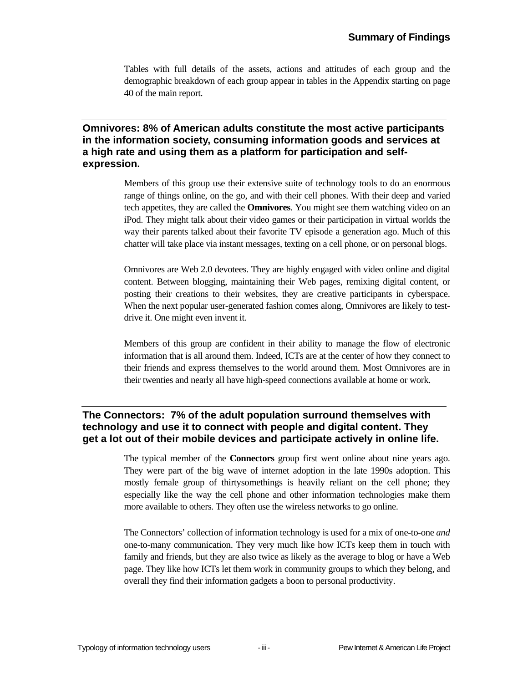Tables with full details of the assets, actions and attitudes of each group and the demographic breakdown of each group appear in tables in the Appendix starting on page 40 of the main report.

#### **Omnivores: 8% of American adults constitute the most active participants in the information society, consuming information goods and services at a high rate and using them as a platform for participation and selfexpression.**

Members of this group use their extensive suite of technology tools to do an enormous range of things online, on the go, and with their cell phones. With their deep and varied tech appetites, they are called the **Omnivores**. You might see them watching video on an iPod. They might talk about their video games or their participation in virtual worlds the way their parents talked about their favorite TV episode a generation ago. Much of this chatter will take place via instant messages, texting on a cell phone, or on personal blogs.

Omnivores are Web 2.0 devotees. They are highly engaged with video online and digital content. Between blogging, maintaining their Web pages, remixing digital content, or posting their creations to their websites, they are creative participants in cyberspace. When the next popular user-generated fashion comes along, Omnivores are likely to testdrive it. One might even invent it.

Members of this group are confident in their ability to manage the flow of electronic information that is all around them. Indeed, ICTs are at the center of how they connect to their friends and express themselves to the world around them. Most Omnivores are in their twenties and nearly all have high-speed connections available at home or work.

#### **The Connectors: 7% of the adult population surround themselves with technology and use it to connect with people and digital content. They get a lot out of their mobile devices and participate actively in online life.**

The typical member of the **Connectors** group first went online about nine years ago. They were part of the big wave of internet adoption in the late 1990s adoption. This mostly female group of thirtysomethings is heavily reliant on the cell phone; they especially like the way the cell phone and other information technologies make them more available to others. They often use the wireless networks to go online.

The Connectors' collection of information technology is used for a mix of one-to-one *and* one-to-many communication. They very much like how ICTs keep them in touch with family and friends, but they are also twice as likely as the average to blog or have a Web page. They like how ICTs let them work in community groups to which they belong, and overall they find their information gadgets a boon to personal productivity.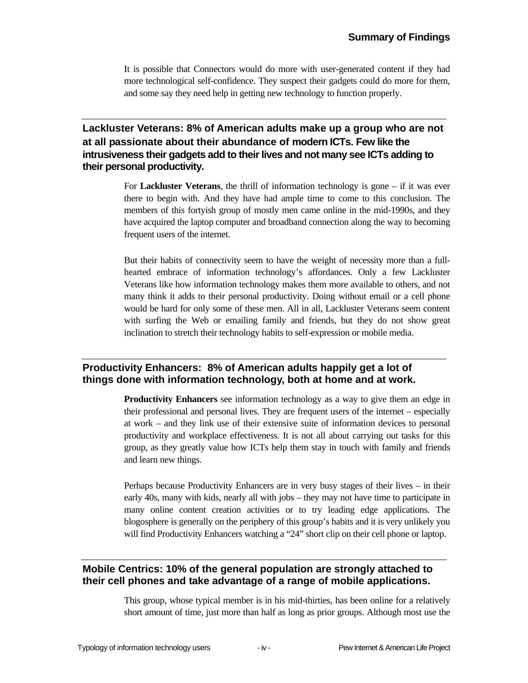It is possible that Connectors would do more with user-generated content if they had more technological self-confidence. They suspect their gadgets could do more for them, and some say they need help in getting new technology to function properly.

**Lackluster Veterans: 8% of American adults make up a group who are not at all passionate about their abundance of modern ICTs**. **Few like the intrusiveness their gadgets add to their lives and not many see ICTs adding to their personal productivity.** 

> For **Lackluster Veterans**, the thrill of information technology is gone – if it was ever there to begin with. And they have had ample time to come to this conclusion. The members of this fortyish group of mostly men came online in the mid-1990s, and they have acquired the laptop computer and broadband connection along the way to becoming frequent users of the internet.

> But their habits of connectivity seem to have the weight of necessity more than a fullhearted embrace of information technology's affordances. Only a few Lackluster Veterans like how information technology makes them more available to others, and not many think it adds to their personal productivity. Doing without email or a cell phone would be hard for only some of these men. All in all, Lackluster Veterans seem content with surfing the Web or emailing family and friends, but they do not show great inclination to stretch their technology habits to self-expression or mobile media.

#### **Productivity Enhancers: 8% of American adults happily get a lot of things done with information technology, both at home and at work.**

**Productivity Enhancers** see information technology as a way to give them an edge in their professional and personal lives. They are frequent users of the internet – especially at work – and they link use of their extensive suite of information devices to personal productivity and workplace effectiveness. It is not all about carrying out tasks for this group, as they greatly value how ICTs help them stay in touch with family and friends and learn new things.

Perhaps because Productivity Enhancers are in very busy stages of their lives – in their early 40s, many with kids, nearly all with jobs – they may not have time to participate in many online content creation activities or to try leading edge applications. The blogosphere is generally on the periphery of this group's habits and it is very unlikely you will find Productivity Enhancers watching a "24" short clip on their cell phone or laptop.

#### **Mobile Centrics: 10% of the general population are strongly attached to their cell phones and take advantage of a range of mobile applications.**

This group, whose typical member is in his mid-thirties, has been online for a relatively short amount of time, just more than half as long as prior groups. Although most use the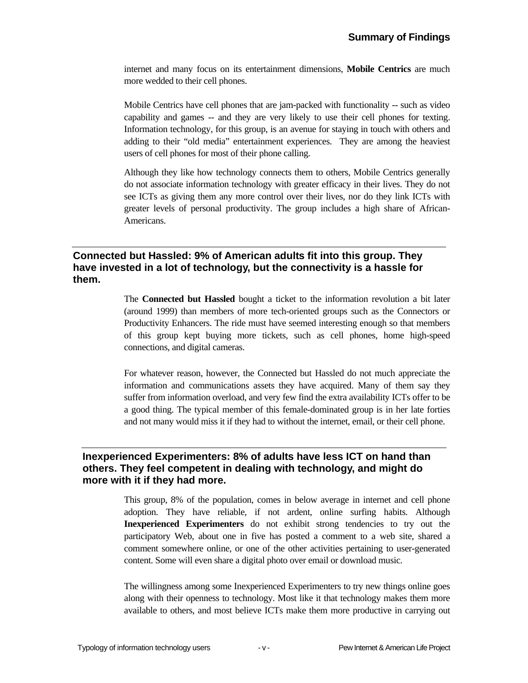internet and many focus on its entertainment dimensions, **Mobile Centrics** are much more wedded to their cell phones.

Mobile Centrics have cell phones that are jam-packed with functionality -- such as video capability and games -- and they are very likely to use their cell phones for texting. Information technology, for this group, is an avenue for staying in touch with others and adding to their "old media" entertainment experiences. They are among the heaviest users of cell phones for most of their phone calling.

Although they like how technology connects them to others, Mobile Centrics generally do not associate information technology with greater efficacy in their lives. They do not see ICTs as giving them any more control over their lives, nor do they link ICTs with greater levels of personal productivity. The group includes a high share of African-Americans.

#### **Connected but Hassled: 9% of American adults fit into this group. They have invested in a lot of technology, but the connectivity is a hassle for them.**

The **Connected but Hassled** bought a ticket to the information revolution a bit later (around 1999) than members of more tech-oriented groups such as the Connectors or Productivity Enhancers. The ride must have seemed interesting enough so that members of this group kept buying more tickets, such as cell phones, home high-speed connections, and digital cameras.

For whatever reason, however, the Connected but Hassled do not much appreciate the information and communications assets they have acquired. Many of them say they suffer from information overload, and very few find the extra availability ICTs offer to be a good thing. The typical member of this female-dominated group is in her late forties and not many would miss it if they had to without the internet, email, or their cell phone.

#### **Inexperienced Experimenters: 8% of adults have less ICT on hand than others. They feel competent in dealing with technology, and might do more with it if they had more.**

This group, 8% of the population, comes in below average in internet and cell phone adoption. They have reliable, if not ardent, online surfing habits. Although **Inexperienced Experimenters** do not exhibit strong tendencies to try out the participatory Web, about one in five has posted a comment to a web site, shared a comment somewhere online, or one of the other activities pertaining to user-generated content. Some will even share a digital photo over email or download music.

The willingness among some Inexperienced Experimenters to try new things online goes along with their openness to technology. Most like it that technology makes them more available to others, and most believe ICTs make them more productive in carrying out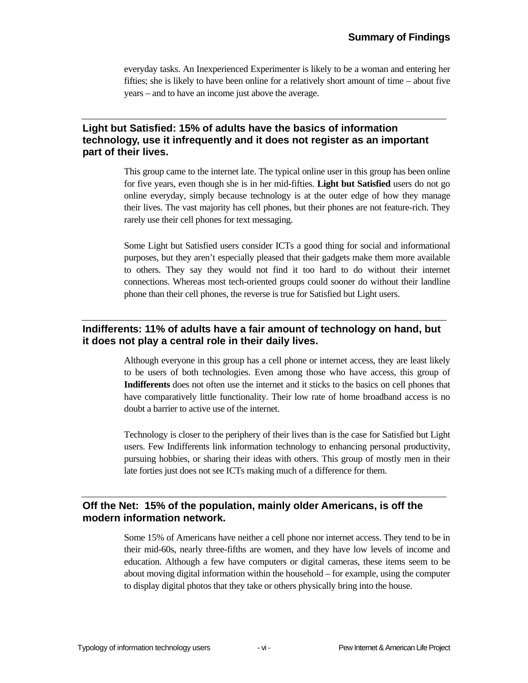everyday tasks. An Inexperienced Experimenter is likely to be a woman and entering her fifties; she is likely to have been online for a relatively short amount of time – about five years – and to have an income just above the average.

#### **Light but Satisfied: 15% of adults have the basics of information technology, use it infrequently and it does not register as an important part of their lives.**

This group came to the internet late. The typical online user in this group has been online for five years, even though she is in her mid-fifties. **Light but Satisfied** users do not go online everyday, simply because technology is at the outer edge of how they manage their lives. The vast majority has cell phones, but their phones are not feature-rich. They rarely use their cell phones for text messaging.

Some Light but Satisfied users consider ICTs a good thing for social and informational purposes, but they aren't especially pleased that their gadgets make them more available to others. They say they would not find it too hard to do without their internet connections. Whereas most tech-oriented groups could sooner do without their landline phone than their cell phones, the reverse is true for Satisfied but Light users.

#### **Indifferents: 11% of adults have a fair amount of technology on hand, but it does not play a central role in their daily lives.**

Although everyone in this group has a cell phone or internet access, they are least likely to be users of both technologies. Even among those who have access, this group of **Indifferents** does not often use the internet and it sticks to the basics on cell phones that have comparatively little functionality. Their low rate of home broadband access is no doubt a barrier to active use of the internet.

Technology is closer to the periphery of their lives than is the case for Satisfied but Light users. Few Indifferents link information technology to enhancing personal productivity, pursuing hobbies, or sharing their ideas with others. This group of mostly men in their late forties just does not see ICTs making much of a difference for them.

#### **Off the Net: 15% of the population, mainly older Americans, is off the modern information network.**

Some 15% of Americans have neither a cell phone nor internet access. They tend to be in their mid-60s, nearly three-fifths are women, and they have low levels of income and education. Although a few have computers or digital cameras, these items seem to be about moving digital information within the household – for example, using the computer to display digital photos that they take or others physically bring into the house.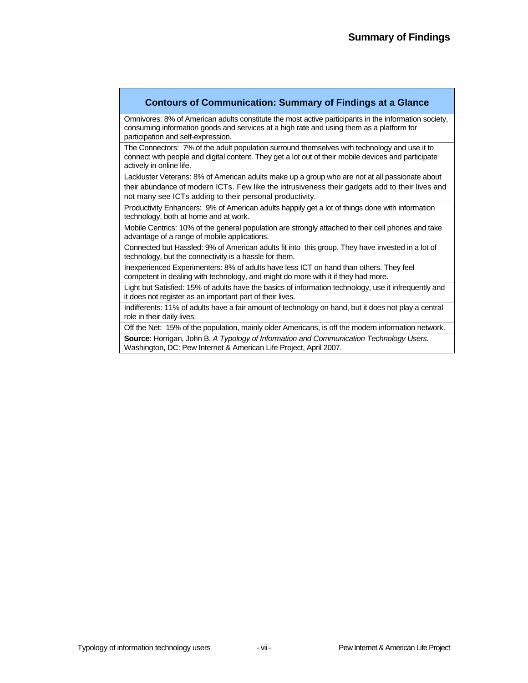#### **Contours of Communication: Summary of Findings at a Glance**

Omnivores: 8% of American adults constitute the most active participants in the information society, consuming information goods and services at a high rate and using them as a platform for participation and self-expression.

The Connectors: 7% of the adult population surround themselves with technology and use it to connect with people and digital content. They get a lot out of their mobile devices and participate actively in online life.

Lackluster Veterans: 8% of American adults make up a group who are not at all passionate about their abundance of modern ICTs. Few like the intrusiveness their gadgets add to their lives and not many see ICTs adding to their personal productivity.

Productivity Enhancers: 9% of American adults happily get a lot of things done with information technology, both at home and at work.

Mobile Centrics: 10% of the general population are strongly attached to their cell phones and take advantage of a range of mobile applications.

Connected but Hassled: 9% of American adults fit into this group. They have invested in a lot of technology, but the connectivity is a hassle for them.

Inexperienced Experimenters: 8% of adults have less ICT on hand than others. They feel competent in dealing with technology, and might do more with it if they had more.

Light but Satisfied: 15% of adults have the basics of information technology, use it infrequently and it does not register as an important part of their lives.

Indifferents: 11% of adults have a fair amount of technology on hand, but it does not play a central role in their daily lives.

Off the Net: 15% of the population, mainly older Americans, is off the modern information network.

**Source**: Horrigan, John B. *A Typology of Information and Communication Technology Users.*  Washington, DC: Pew Internet & American Life Project, April 2007.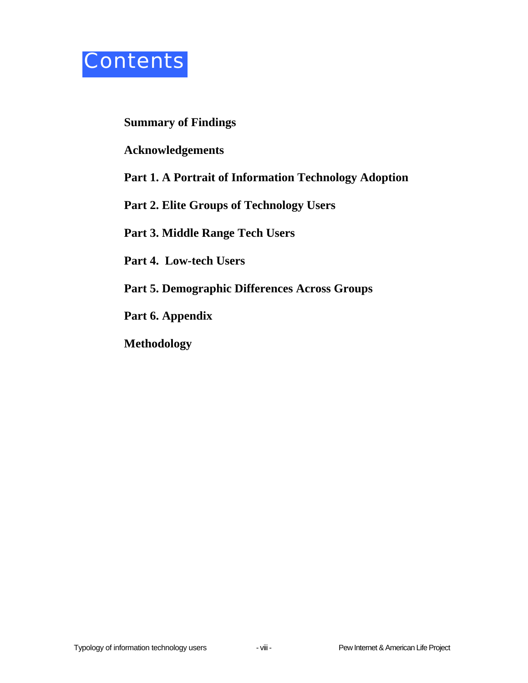

#### **Summary of Findings**

**Acknowledgements** 

#### **Part 1. A Portrait of Information Technology Adoption**

#### **Part 2. Elite Groups of Technology Users**

**Part 3. Middle Range Tech Users** 

**Part 4. Low-tech Users** 

**Part 5. Demographic Differences Across Groups** 

**Part 6. Appendix** 

**Methodology**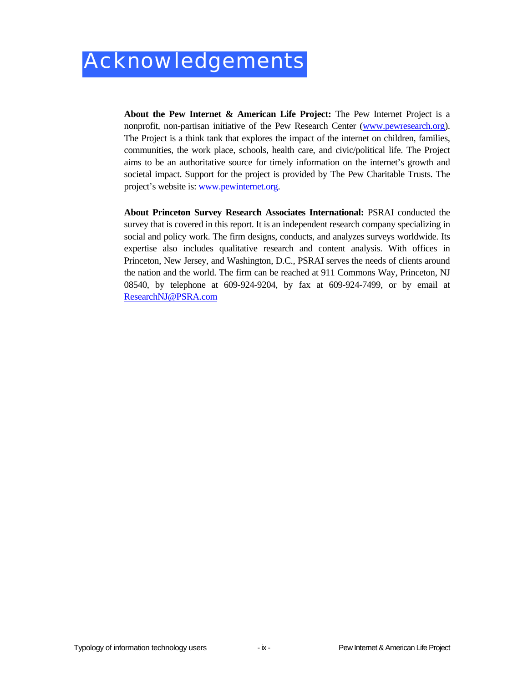

**About the Pew Internet & American Life Project:** The Pew Internet Project is a nonprofit, non-partisan initiative of the Pew Research Center (www.pewresearch.org). The Project is a think tank that explores the impact of the internet on children, families, communities, the work place, schools, health care, and civic/political life. The Project aims to be an authoritative source for timely information on the internet's growth and societal impact. Support for the project is provided by The Pew Charitable Trusts. The project's website is: www.pewinternet.org.

**About Princeton Survey Research Associates International:** PSRAI conducted the survey that is covered in this report. It is an independent research company specializing in social and policy work. The firm designs, conducts, and analyzes surveys worldwide. Its expertise also includes qualitative research and content analysis. With offices in Princeton, New Jersey, and Washington, D.C., PSRAI serves the needs of clients around the nation and the world. The firm can be reached at 911 Commons Way, Princeton, NJ 08540, by telephone at 609-924-9204, by fax at 609-924-7499, or by email at ResearchNJ@PSRA.com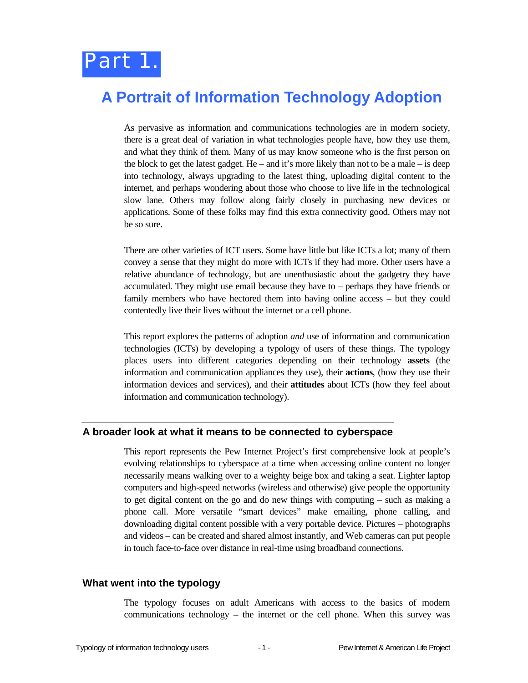## **A Portrait of Information Technology Adoption**

As pervasive as information and communications technologies are in modern society, there is a great deal of variation in what technologies people have, how they use them, and what they think of them. Many of us may know someone who is the first person on the block to get the latest gadget. He – and it's more likely than not to be a male – is deep into technology, always upgrading to the latest thing, uploading digital content to the internet, and perhaps wondering about those who choose to live life in the technological slow lane. Others may follow along fairly closely in purchasing new devices or applications. Some of these folks may find this extra connectivity good. Others may not be so sure.

There are other varieties of ICT users. Some have little but like ICTs a lot; many of them convey a sense that they might do more with ICTs if they had more. Other users have a relative abundance of technology, but are unenthusiastic about the gadgetry they have accumulated. They might use email because they have to – perhaps they have friends or family members who have hectored them into having online access – but they could contentedly live their lives without the internet or a cell phone.

This report explores the patterns of adoption *and* use of information and communication technologies (ICTs) by developing a typology of users of these things. The typology places users into different categories depending on their technology **assets** (the information and communication appliances they use), their **actions**, (how they use their information devices and services), and their **attitudes** about ICTs (how they feel about information and communication technology).

#### **A broader look at what it means to be connected to cyberspace**

This report represents the Pew Internet Project's first comprehensive look at people's evolving relationships to cyberspace at a time when accessing online content no longer necessarily means walking over to a weighty beige box and taking a seat. Lighter laptop computers and high-speed networks (wireless and otherwise) give people the opportunity to get digital content on the go and do new things with computing – such as making a phone call. More versatile "smart devices" make emailing, phone calling, and downloading digital content possible with a very portable device. Pictures – photographs and videos – can be created and shared almost instantly, and Web cameras can put people in touch face-to-face over distance in real-time using broadband connections.

#### **What went into the typology**

The typology focuses on adult Americans with access to the basics of modern communications technology – the internet or the cell phone. When this survey was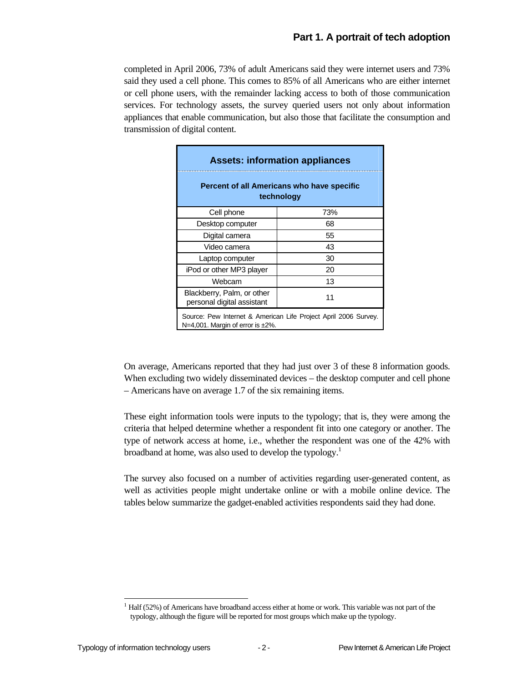completed in April 2006, 73% of adult Americans said they were internet users and 73% said they used a cell phone. This comes to 85% of all Americans who are either internet or cell phone users, with the remainder lacking access to both of those communication services. For technology assets, the survey queried users not only about information appliances that enable communication, but also those that facilitate the consumption and transmission of digital content.

| <b>Assets: information appliances</b>                                                                      |     |  |  |  |  |  |
|------------------------------------------------------------------------------------------------------------|-----|--|--|--|--|--|
| Percent of all Americans who have specific<br>technology                                                   |     |  |  |  |  |  |
| Cell phone                                                                                                 | 73% |  |  |  |  |  |
| Desktop computer                                                                                           | 68  |  |  |  |  |  |
| Digital camera                                                                                             | 55  |  |  |  |  |  |
| Video camera                                                                                               | 43  |  |  |  |  |  |
| Laptop computer                                                                                            | 30  |  |  |  |  |  |
| iPod or other MP3 player                                                                                   | 20  |  |  |  |  |  |
| Webcam                                                                                                     | 13  |  |  |  |  |  |
| Blackberry, Palm, or other<br>11<br>personal digital assistant                                             |     |  |  |  |  |  |
| Source: Pew Internet & American Life Project April 2006 Survey.<br>N=4,001. Margin of error is $\pm 2\%$ . |     |  |  |  |  |  |

On average, Americans reported that they had just over 3 of these 8 information goods. When excluding two widely disseminated devices – the desktop computer and cell phone – Americans have on average 1.7 of the six remaining items.

These eight information tools were inputs to the typology; that is, they were among the criteria that helped determine whether a respondent fit into one category or another. The type of network access at home, i.e., whether the respondent was one of the 42% with broadband at home, was also used to develop the typology.<sup>1</sup>

The survey also focused on a number of activities regarding user-generated content, as well as activities people might undertake online or with a mobile online device. The tables below summarize the gadget-enabled activities respondents said they had done.

1

 $1$  Half (52%) of Americans have broadband access either at home or work. This variable was not part of the typology, although the figure will be reported for most groups which make up the typology.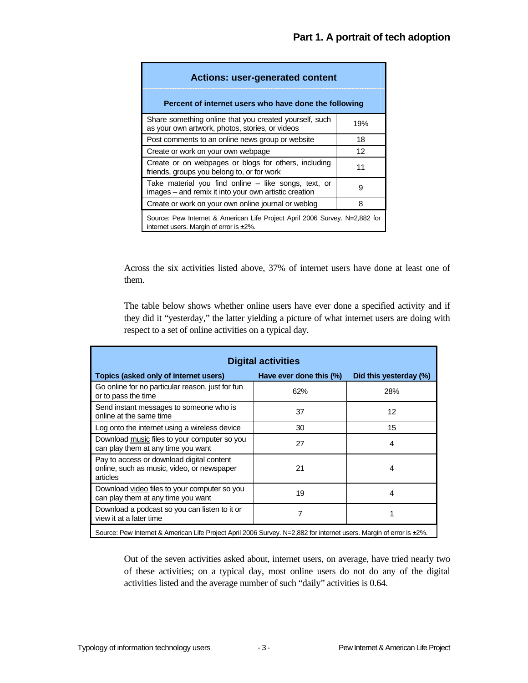| <b>Actions: user-generated content</b>                                                                                        |     |  |  |  |  |  |
|-------------------------------------------------------------------------------------------------------------------------------|-----|--|--|--|--|--|
| Percent of internet users who have done the following                                                                         |     |  |  |  |  |  |
| Share something online that you created yourself, such<br>as your own artwork, photos, stories, or videos                     | 19% |  |  |  |  |  |
| Post comments to an online news group or website                                                                              | 18  |  |  |  |  |  |
| Create or work on your own webpage                                                                                            | 12  |  |  |  |  |  |
| Create or on webpages or blogs for others, including<br>friends, groups you belong to, or for work                            | 11  |  |  |  |  |  |
| Take material you find online – like songs, text, or<br>images – and remix it into your own artistic creation                 | 9   |  |  |  |  |  |
| Create or work on your own online journal or weblog                                                                           | 8   |  |  |  |  |  |
| Source: Pew Internet & American Life Project April 2006 Survey. N=2,882 for<br>internet users. Margin of error is $\pm 2\%$ . |     |  |  |  |  |  |

Across the six activities listed above, 37% of internet users have done at least one of them.

The table below shows whether online users have ever done a specified activity and if they did it "yesterday," the latter yielding a picture of what internet users are doing with respect to a set of online activities on a typical day.

| <b>Digital activities</b>                                                                                           |                         |                        |  |  |  |  |  |
|---------------------------------------------------------------------------------------------------------------------|-------------------------|------------------------|--|--|--|--|--|
| Topics (asked only of internet users)                                                                               | Have ever done this (%) | Did this yesterday (%) |  |  |  |  |  |
| Go online for no particular reason, just for fun<br>or to pass the time                                             | 62%                     | 28%                    |  |  |  |  |  |
| Send instant messages to someone who is<br>online at the same time                                                  | 37                      | 12                     |  |  |  |  |  |
| Log onto the internet using a wireless device                                                                       | 30                      | 15                     |  |  |  |  |  |
| Download music files to your computer so you<br>can play them at any time you want                                  | 27                      | 4                      |  |  |  |  |  |
| Pay to access or download digital content<br>online, such as music, video, or newspaper<br>articles                 | 21                      | 4                      |  |  |  |  |  |
| Download video files to your computer so you<br>can play them at any time you want                                  | 19                      | 4                      |  |  |  |  |  |
| Download a podcast so you can listen to it or<br>view it at a later time                                            | 7                       |                        |  |  |  |  |  |
| Source: Pew Internet & American Life Project April 2006 Survey. N=2,882 for internet users. Margin of error is ±2%. |                         |                        |  |  |  |  |  |

Out of the seven activities asked about, internet users, on average, have tried nearly two of these activities; on a typical day, most online users do not do any of the digital activities listed and the average number of such "daily" activities is 0.64.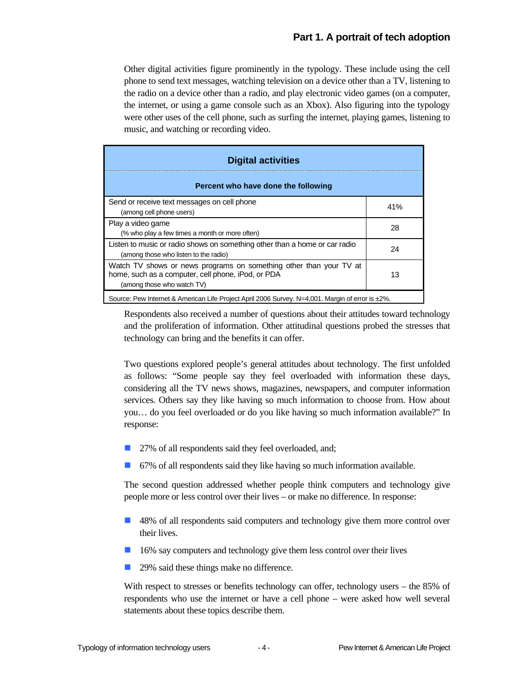Other digital activities figure prominently in the typology. These include using the cell phone to send text messages, watching television on a device other than a TV, listening to the radio on a device other than a radio, and play electronic video games (on a computer, the internet, or using a game console such as an Xbox). Also figuring into the typology were other uses of the cell phone, such as surfing the internet, playing games, listening to music, and watching or recording video.

| <b>Digital activities</b>                                                                                                                              |     |  |  |  |  |  |
|--------------------------------------------------------------------------------------------------------------------------------------------------------|-----|--|--|--|--|--|
| Percent who have done the following                                                                                                                    |     |  |  |  |  |  |
| Send or receive text messages on cell phone<br>(among cell phone users)                                                                                | 41% |  |  |  |  |  |
| Play a video game<br>(% who play a few times a month or more often)                                                                                    | 28  |  |  |  |  |  |
| Listen to music or radio shows on something other than a home or car radio<br>(among those who listen to the radio)                                    | 24  |  |  |  |  |  |
| Watch TV shows or news programs on something other than your TV at<br>home, such as a computer, cell phone, iPod, or PDA<br>(among those who watch TV) | 13  |  |  |  |  |  |
| Source: Pew Internet & American Life Project April 2006 Survey. N=4,001. Margin of error is ±2%.                                                       |     |  |  |  |  |  |

Respondents also received a number of questions about their attitudes toward technology and the proliferation of information. Other attitudinal questions probed the stresses that technology can bring and the benefits it can offer.

Two questions explored people's general attitudes about technology. The first unfolded as follows: "Some people say they feel overloaded with information these days, considering all the TV news shows, magazines, newspapers, and computer information services. Others say they like having so much information to choose from. How about you… do you feel overloaded or do you like having so much information available?" In response:

- 27% of all respondents said they feel overloaded, and;
- 67% of all respondents said they like having so much information available.

The second question addressed whether people think computers and technology give people more or less control over their lives – or make no difference. In response:

- 48% of all respondents said computers and technology give them more control over their lives.
- **16%** say computers and technology give them less control over their lives
- 29% said these things make no difference.

With respect to stresses or benefits technology can offer, technology users – the 85% of respondents who use the internet or have a cell phone – were asked how well several statements about these topics describe them.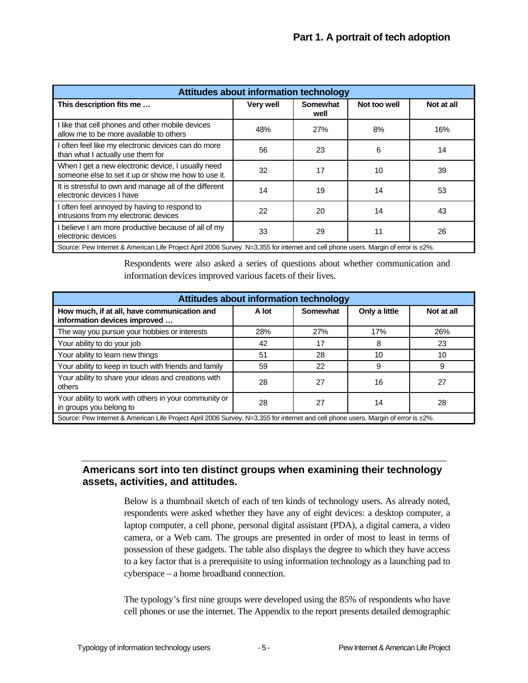| Attitudes about information technology                                                                                             |                  |                  |              |            |  |  |
|------------------------------------------------------------------------------------------------------------------------------------|------------------|------------------|--------------|------------|--|--|
| This description fits me                                                                                                           | <b>Very well</b> | Somewhat<br>well | Not too well | Not at all |  |  |
| I like that cell phones and other mobile devices<br>allow me to be more available to others                                        | 48%              | 27%              | 8%           | 16%        |  |  |
| often feel like my electronic devices can do more<br>than what I actually use them for                                             | 56               | 23               | 6            | 14         |  |  |
| When I get a new electronic device, I usually need<br>someone else to set it up or show me how to use it.                          | 32               | 17               | 10           | 39         |  |  |
| It is stressful to own and manage all of the different<br>electronic devices I have                                                | 14               | 19               | 14           | 53         |  |  |
| often feel annoyed by having to respond to<br>intrusions from my electronic devices                                                | 22               | 20               | 14           | 43         |  |  |
| believe I am more productive because of all of my<br>electronic devices                                                            | 33               | 29               | 11           | 26         |  |  |
| Source: Pew Internet & American Life Project April 2006 Survey. N=3,355 for internet and cell phone users. Margin of error is ±2%. |                  |                  |              |            |  |  |

Respondents were also asked a series of questions about whether communication and information devices improved various facets of their lives.

| Attitudes about information technology                                           |       |                                                                                                                                    |               |            |  |  |  |  |
|----------------------------------------------------------------------------------|-------|------------------------------------------------------------------------------------------------------------------------------------|---------------|------------|--|--|--|--|
| How much, if at all, have communication and<br>information devices improved      | A lot | Somewhat                                                                                                                           | Only a little | Not at all |  |  |  |  |
| The way you pursue your hobbies or interests                                     | 28%   | 27%                                                                                                                                | 17%           | 26%        |  |  |  |  |
| Your ability to do your job                                                      | 42    | 17                                                                                                                                 | 8             | 23         |  |  |  |  |
| Your ability to learn new things                                                 | 51    | 28                                                                                                                                 | 10            | 10         |  |  |  |  |
| Your ability to keep in touch with friends and family                            | 59    | 22                                                                                                                                 | 9             |            |  |  |  |  |
| Your ability to share your ideas and creations with<br>others                    | 28    | 27                                                                                                                                 | 16            | 27         |  |  |  |  |
| Your ability to work with others in your community or<br>in groups you belong to | 28    | 27                                                                                                                                 | 14            | 28         |  |  |  |  |
|                                                                                  |       | Source: Pew Internet & American Life Project April 2006 Survey. N=3,355 for internet and cell phone users. Margin of error is ±2%. |               |            |  |  |  |  |

#### **Americans sort into ten distinct groups when examining their technology assets, activities, and attitudes.**

Below is a thumbnail sketch of each of ten kinds of technology users. As already noted, respondents were asked whether they have any of eight devices: a desktop computer, a laptop computer, a cell phone, personal digital assistant (PDA), a digital camera, a video camera, or a Web cam. The groups are presented in order of most to least in terms of possession of these gadgets. The table also displays the degree to which they have access to a key factor that is a prerequisite to using information technology as a launching pad to cyberspace – a home broadband connection.

The typology's first nine groups were developed using the 85% of respondents who have cell phones or use the internet. The Appendix to the report presents detailed demographic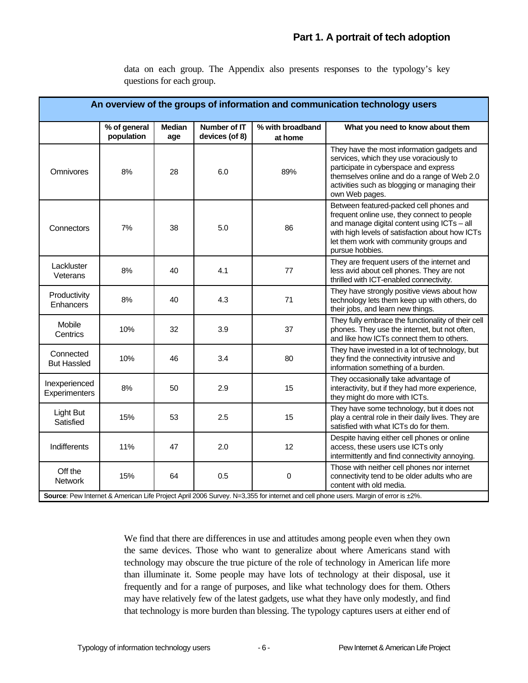| An overview of the groups of information and communication technology users                                                        |                            |                      |                                |                             |                                                                                                                                                                                                                                                        |  |  |
|------------------------------------------------------------------------------------------------------------------------------------|----------------------------|----------------------|--------------------------------|-----------------------------|--------------------------------------------------------------------------------------------------------------------------------------------------------------------------------------------------------------------------------------------------------|--|--|
|                                                                                                                                    | % of general<br>population | <b>Median</b><br>age | Number of IT<br>devices (of 8) | % with broadband<br>at home | What you need to know about them                                                                                                                                                                                                                       |  |  |
| Omnivores                                                                                                                          | 8%                         | 28                   | 6.0                            | 89%                         | They have the most information gadgets and<br>services, which they use voraciously to<br>participate in cyberspace and express<br>themselves online and do a range of Web 2.0<br>activities such as blogging or managing their<br>own Web pages.       |  |  |
| Connectors                                                                                                                         | 7%                         | 38                   | 5.0                            | 86                          | Between featured-packed cell phones and<br>frequent online use, they connect to people<br>and manage digital content using ICTs - all<br>with high levels of satisfaction about how ICTs<br>let them work with community groups and<br>pursue hobbies. |  |  |
| Lackluster<br>Veterans                                                                                                             | 8%                         | 40                   | 4.1                            | 77                          | They are frequent users of the internet and<br>less avid about cell phones. They are not<br>thrilled with ICT-enabled connectivity.                                                                                                                    |  |  |
| Productivity<br>Enhancers                                                                                                          | 8%                         | 40                   | 4.3                            | 71                          | They have strongly positive views about how<br>technology lets them keep up with others, do<br>their jobs, and learn new things.                                                                                                                       |  |  |
| Mobile<br>Centrics                                                                                                                 | 10%                        | 32                   | 3.9                            | 37                          | They fully embrace the functionality of their cell<br>phones. They use the internet, but not often,<br>and like how ICTs connect them to others.                                                                                                       |  |  |
| Connected<br><b>But Hassled</b>                                                                                                    | 10%                        | 46                   | 3.4                            | 80                          | They have invested in a lot of technology, but<br>they find the connectivity intrusive and<br>information something of a burden.                                                                                                                       |  |  |
| Inexperienced<br>Experimenters                                                                                                     | 8%                         | 50                   | 2.9                            | 15                          | They occasionally take advantage of<br>interactivity, but if they had more experience,<br>they might do more with ICTs.                                                                                                                                |  |  |
| Light But<br>Satisfied                                                                                                             | 15%                        | 53                   | 2.5                            | 15                          | They have some technology, but it does not<br>play a central role in their daily lives. They are<br>satisfied with what ICTs do for them.                                                                                                              |  |  |
| Indifferents                                                                                                                       | 11%                        | 47                   | 2.0                            | 12                          | Despite having either cell phones or online<br>access, these users use ICTs only<br>intermittently and find connectivity annoying.                                                                                                                     |  |  |
| Off the<br><b>Network</b>                                                                                                          | 15%                        | 64                   | 0.5                            | 0                           | Those with neither cell phones nor internet<br>connectivity tend to be older adults who are<br>content with old media.                                                                                                                                 |  |  |
| Source: Pew Internet & American Life Project April 2006 Survey. N=3,355 for internet and cell phone users. Margin of error is ±2%. |                            |                      |                                |                             |                                                                                                                                                                                                                                                        |  |  |

data on each group. The Appendix also presents responses to the typology's key questions for each group.

We find that there are differences in use and attitudes among people even when they own the same devices. Those who want to generalize about where Americans stand with technology may obscure the true picture of the role of technology in American life more than illuminate it. Some people may have lots of technology at their disposal, use it frequently and for a range of purposes, and like what technology does for them. Others may have relatively few of the latest gadgets, use what they have only modestly, and find that technology is more burden than blessing. The typology captures users at either end of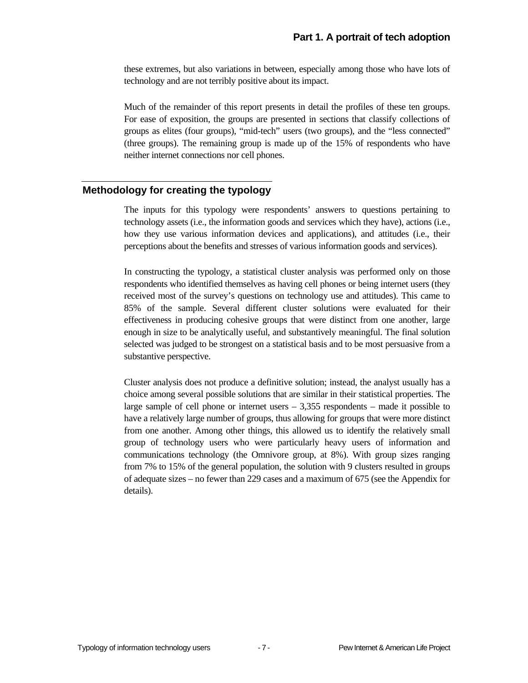these extremes, but also variations in between, especially among those who have lots of technology and are not terribly positive about its impact.

Much of the remainder of this report presents in detail the profiles of these ten groups. For ease of exposition, the groups are presented in sections that classify collections of groups as elites (four groups), "mid-tech" users (two groups), and the "less connected" (three groups). The remaining group is made up of the 15% of respondents who have neither internet connections nor cell phones.

#### **Methodology for creating the typology**

The inputs for this typology were respondents' answers to questions pertaining to technology assets (i.e., the information goods and services which they have), actions (i.e., how they use various information devices and applications), and attitudes (i.e., their perceptions about the benefits and stresses of various information goods and services).

In constructing the typology, a statistical cluster analysis was performed only on those respondents who identified themselves as having cell phones or being internet users (they received most of the survey's questions on technology use and attitudes). This came to 85% of the sample. Several different cluster solutions were evaluated for their effectiveness in producing cohesive groups that were distinct from one another, large enough in size to be analytically useful, and substantively meaningful. The final solution selected was judged to be strongest on a statistical basis and to be most persuasive from a substantive perspective.

Cluster analysis does not produce a definitive solution; instead, the analyst usually has a choice among several possible solutions that are similar in their statistical properties. The large sample of cell phone or internet users – 3,355 respondents – made it possible to have a relatively large number of groups, thus allowing for groups that were more distinct from one another. Among other things, this allowed us to identify the relatively small group of technology users who were particularly heavy users of information and communications technology (the Omnivore group, at 8%). With group sizes ranging from 7% to 15% of the general population, the solution with 9 clusters resulted in groups of adequate sizes – no fewer than 229 cases and a maximum of 675 (see the Appendix for details).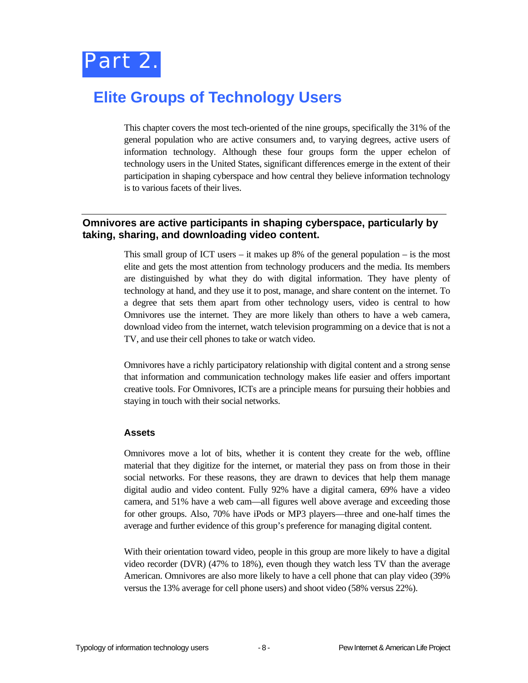

## **Elite Groups of Technology Users**

This chapter covers the most tech-oriented of the nine groups, specifically the 31% of the general population who are active consumers and, to varying degrees, active users of information technology. Although these four groups form the upper echelon of technology users in the United States, significant differences emerge in the extent of their participation in shaping cyberspace and how central they believe information technology is to various facets of their lives.

#### **Omnivores are active participants in shaping cyberspace, particularly by taking, sharing, and downloading video content.**

This small group of ICT users – it makes up 8% of the general population – is the most elite and gets the most attention from technology producers and the media. Its members are distinguished by what they do with digital information. They have plenty of technology at hand, and they use it to post, manage, and share content on the internet. To a degree that sets them apart from other technology users, video is central to how Omnivores use the internet. They are more likely than others to have a web camera, download video from the internet, watch television programming on a device that is not a TV, and use their cell phones to take or watch video.

Omnivores have a richly participatory relationship with digital content and a strong sense that information and communication technology makes life easier and offers important creative tools. For Omnivores, ICTs are a principle means for pursuing their hobbies and staying in touch with their social networks.

#### **Assets**

Omnivores move a lot of bits, whether it is content they create for the web, offline material that they digitize for the internet, or material they pass on from those in their social networks. For these reasons, they are drawn to devices that help them manage digital audio and video content. Fully 92% have a digital camera, 69% have a video camera, and 51% have a web cam—all figures well above average and exceeding those for other groups. Also, 70% have iPods or MP3 players—three and one-half times the average and further evidence of this group's preference for managing digital content.

With their orientation toward video, people in this group are more likely to have a digital video recorder (DVR) (47% to 18%), even though they watch less TV than the average American. Omnivores are also more likely to have a cell phone that can play video (39% versus the 13% average for cell phone users) and shoot video (58% versus 22%).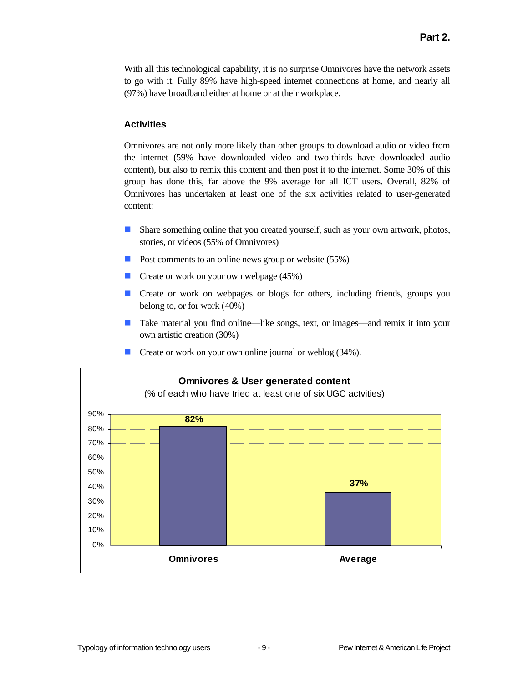With all this technological capability, it is no surprise Omnivores have the network assets to go with it. Fully 89% have high-speed internet connections at home, and nearly all (97%) have broadband either at home or at their workplace.

#### **Activities**

Omnivores are not only more likely than other groups to download audio or video from the internet (59% have downloaded video and two-thirds have downloaded audio content), but also to remix this content and then post it to the internet. Some 30% of this group has done this, far above the 9% average for all ICT users. Overall, 82% of Omnivores has undertaken at least one of the six activities related to user-generated content:

- Share something online that you created yourself, such as your own artwork, photos, stories, or videos (55% of Omnivores)
- $\blacksquare$  Post comments to an online news group or website (55%)
- **Create or work on your own webpage (45%)**
- **Create or work on webpages or blogs for others, including friends, groups you** belong to, or for work (40%)
- Take material you find online—like songs, text, or images—and remix it into your own artistic creation (30%)
- Create or work on your own online journal or weblog (34%).

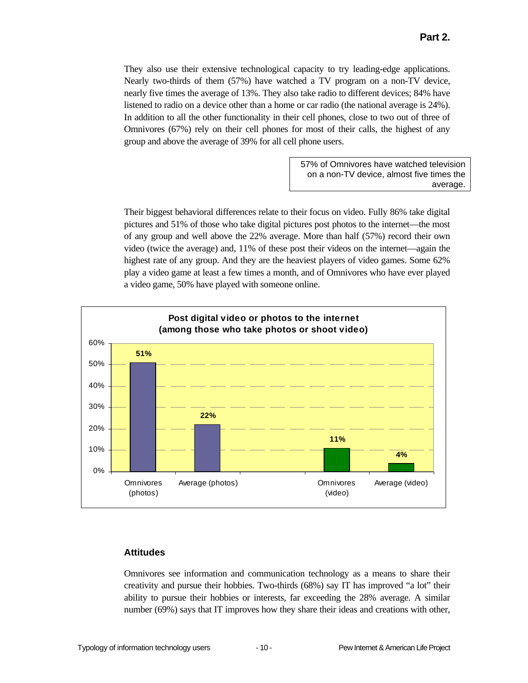They also use their extensive technological capacity to try leading-edge applications. Nearly two-thirds of them (57%) have watched a TV program on a non-TV device, nearly five times the average of 13%. They also take radio to different devices; 84% have listened to radio on a device other than a home or car radio (the national average is 24%). In addition to all the other functionality in their cell phones, close to two out of three of Omnivores (67%) rely on their cell phones for most of their calls, the highest of any group and above the average of 39% for all cell phone users.

> 57% of Omnivores have watched television on a non-TV device, almost five times the average.

Their biggest behavioral differences relate to their focus on video. Fully 86% take digital pictures and 51% of those who take digital pictures post photos to the internet—the most of any group and well above the 22% average. More than half (57%) record their own video (twice the average) and, 11% of these post their videos on the internet—again the highest rate of any group. And they are the heaviest players of video games. Some 62% play a video game at least a few times a month, and of Omnivores who have ever played a video game, 50% have played with someone online.



#### **Attitudes**

Omnivores see information and communication technology as a means to share their creativity and pursue their hobbies. Two-thirds (68%) say IT has improved "a lot" their ability to pursue their hobbies or interests, far exceeding the 28% average. A similar number (69%) says that IT improves how they share their ideas and creations with other,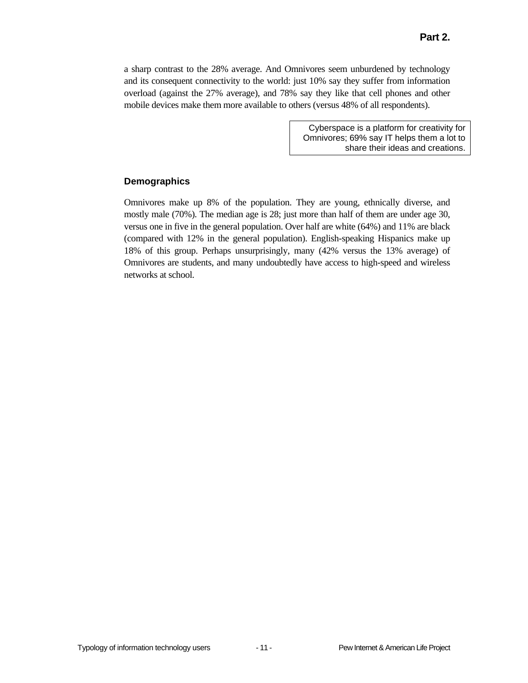a sharp contrast to the 28% average. And Omnivores seem unburdened by technology and its consequent connectivity to the world: just 10% say they suffer from information overload (against the 27% average), and 78% say they like that cell phones and other mobile devices make them more available to others (versus 48% of all respondents).

> Cyberspace is a platform for creativity for Omnivores; 69% say IT helps them a lot to share their ideas and creations.

#### **Demographics**

Omnivores make up 8% of the population. They are young, ethnically diverse, and mostly male (70%). The median age is 28; just more than half of them are under age 30, versus one in five in the general population. Over half are white (64%) and 11% are black (compared with 12% in the general population). English-speaking Hispanics make up 18% of this group. Perhaps unsurprisingly, many (42% versus the 13% average) of Omnivores are students, and many undoubtedly have access to high-speed and wireless networks at school.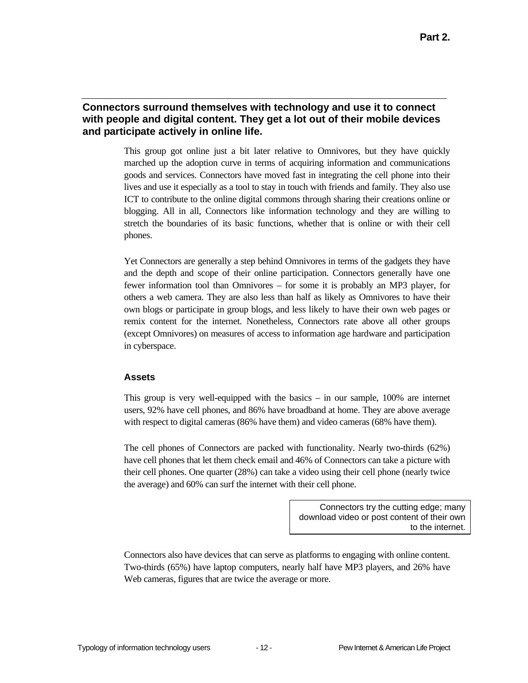#### **Connectors surround themselves with technology and use it to connect with people and digital content. They get a lot out of their mobile devices and participate actively in online life.**

This group got online just a bit later relative to Omnivores, but they have quickly marched up the adoption curve in terms of acquiring information and communications goods and services. Connectors have moved fast in integrating the cell phone into their lives and use it especially as a tool to stay in touch with friends and family. They also use ICT to contribute to the online digital commons through sharing their creations online or blogging. All in all, Connectors like information technology and they are willing to stretch the boundaries of its basic functions, whether that is online or with their cell phones.

Yet Connectors are generally a step behind Omnivores in terms of the gadgets they have and the depth and scope of their online participation. Connectors generally have one fewer information tool than Omnivores – for some it is probably an MP3 player, for others a web camera. They are also less than half as likely as Omnivores to have their own blogs or participate in group blogs, and less likely to have their own web pages or remix content for the internet. Nonetheless, Connectors rate above all other groups (except Omnivores) on measures of access to information age hardware and participation in cyberspace.

#### **Assets**

This group is very well-equipped with the basics – in our sample, 100% are internet users, 92% have cell phones, and 86% have broadband at home. They are above average with respect to digital cameras (86% have them) and video cameras (68% have them).

The cell phones of Connectors are packed with functionality. Nearly two-thirds (62%) have cell phones that let them check email and 46% of Connectors can take a picture with their cell phones. One quarter (28%) can take a video using their cell phone (nearly twice the average) and 60% can surf the internet with their cell phone.

> Connectors try the cutting edge; many download video or post content of their own to the internet.

Connectors also have devices that can serve as platforms to engaging with online content. Two-thirds (65%) have laptop computers, nearly half have MP3 players, and 26% have Web cameras, figures that are twice the average or more.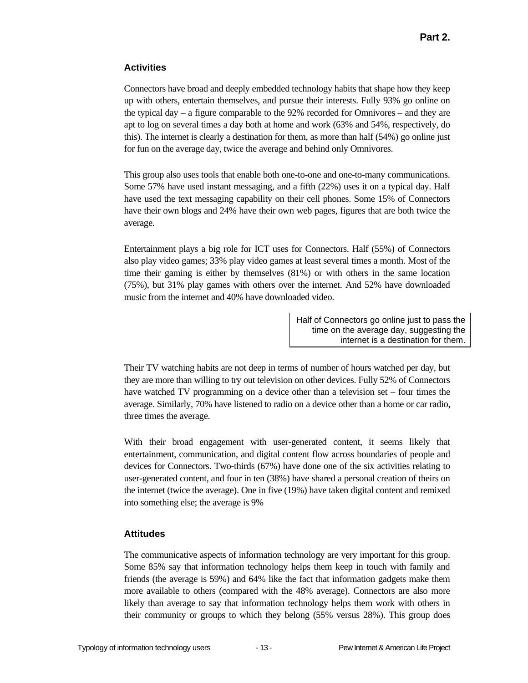#### **Activities**

Connectors have broad and deeply embedded technology habits that shape how they keep up with others, entertain themselves, and pursue their interests. Fully 93% go online on the typical day – a figure comparable to the 92% recorded for Omnivores – and they are apt to log on several times a day both at home and work (63% and 54%, respectively, do this). The internet is clearly a destination for them, as more than half (54%) go online just for fun on the average day, twice the average and behind only Omnivores.

This group also uses tools that enable both one-to-one and one-to-many communications. Some 57% have used instant messaging, and a fifth (22%) uses it on a typical day. Half have used the text messaging capability on their cell phones. Some 15% of Connectors have their own blogs and 24% have their own web pages, figures that are both twice the average.

Entertainment plays a big role for ICT uses for Connectors. Half (55%) of Connectors also play video games; 33% play video games at least several times a month. Most of the time their gaming is either by themselves (81%) or with others in the same location (75%), but 31% play games with others over the internet. And 52% have downloaded music from the internet and 40% have downloaded video.

> Half of Connectors go online just to pass the time on the average day, suggesting the internet is a destination for them.

Their TV watching habits are not deep in terms of number of hours watched per day, but they are more than willing to try out television on other devices. Fully 52% of Connectors have watched TV programming on a device other than a television set – four times the average. Similarly, 70% have listened to radio on a device other than a home or car radio, three times the average.

With their broad engagement with user-generated content, it seems likely that entertainment, communication, and digital content flow across boundaries of people and devices for Connectors. Two-thirds (67%) have done one of the six activities relating to user-generated content, and four in ten (38%) have shared a personal creation of theirs on the internet (twice the average). One in five (19%) have taken digital content and remixed into something else; the average is 9%

#### **Attitudes**

The communicative aspects of information technology are very important for this group. Some 85% say that information technology helps them keep in touch with family and friends (the average is 59%) and 64% like the fact that information gadgets make them more available to others (compared with the 48% average). Connectors are also more likely than average to say that information technology helps them work with others in their community or groups to which they belong (55% versus 28%). This group does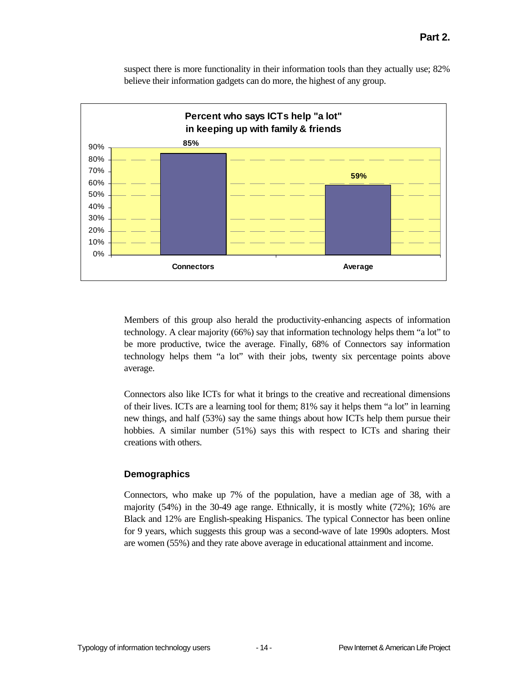

suspect there is more functionality in their information tools than they actually use; 82% believe their information gadgets can do more, the highest of any group.

Members of this group also herald the productivity-enhancing aspects of information technology. A clear majority (66%) say that information technology helps them "a lot" to be more productive, twice the average. Finally, 68% of Connectors say information technology helps them "a lot" with their jobs, twenty six percentage points above average.

Connectors also like ICTs for what it brings to the creative and recreational dimensions of their lives. ICTs are a learning tool for them; 81% say it helps them "a lot" in learning new things, and half (53%) say the same things about how ICTs help them pursue their hobbies. A similar number (51%) says this with respect to ICTs and sharing their creations with others.

#### **Demographics**

Connectors, who make up 7% of the population, have a median age of 38, with a majority (54%) in the 30-49 age range. Ethnically, it is mostly white (72%); 16% are Black and 12% are English-speaking Hispanics. The typical Connector has been online for 9 years, which suggests this group was a second-wave of late 1990s adopters. Most are women (55%) and they rate above average in educational attainment and income.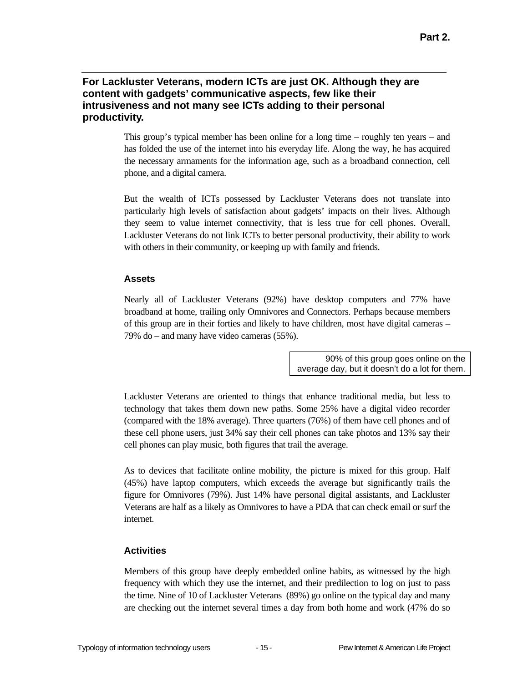#### **For Lackluster Veterans, modern ICTs are just OK. Although they are content with gadgets' communicative aspects, few like their intrusiveness and not many see ICTs adding to their personal productivity.**

This group's typical member has been online for a long time – roughly ten years – and has folded the use of the internet into his everyday life. Along the way, he has acquired the necessary armaments for the information age, such as a broadband connection, cell phone, and a digital camera.

But the wealth of ICTs possessed by Lackluster Veterans does not translate into particularly high levels of satisfaction about gadgets' impacts on their lives. Although they seem to value internet connectivity, that is less true for cell phones. Overall, Lackluster Veterans do not link ICTs to better personal productivity, their ability to work with others in their community, or keeping up with family and friends.

#### **Assets**

Nearly all of Lackluster Veterans (92%) have desktop computers and 77% have broadband at home, trailing only Omnivores and Connectors. Perhaps because members of this group are in their forties and likely to have children, most have digital cameras – 79% do – and many have video cameras (55%).

> 90% of this group goes online on the average day, but it doesn't do a lot for them.

Lackluster Veterans are oriented to things that enhance traditional media, but less to technology that takes them down new paths. Some 25% have a digital video recorder (compared with the 18% average). Three quarters (76%) of them have cell phones and of these cell phone users, just 34% say their cell phones can take photos and 13% say their cell phones can play music, both figures that trail the average.

As to devices that facilitate online mobility, the picture is mixed for this group. Half (45%) have laptop computers, which exceeds the average but significantly trails the figure for Omnivores (79%). Just 14% have personal digital assistants, and Lackluster Veterans are half as a likely as Omnivores to have a PDA that can check email or surf the internet.

#### **Activities**

Members of this group have deeply embedded online habits, as witnessed by the high frequency with which they use the internet, and their predilection to log on just to pass the time. Nine of 10 of Lackluster Veterans (89%) go online on the typical day and many are checking out the internet several times a day from both home and work (47% do so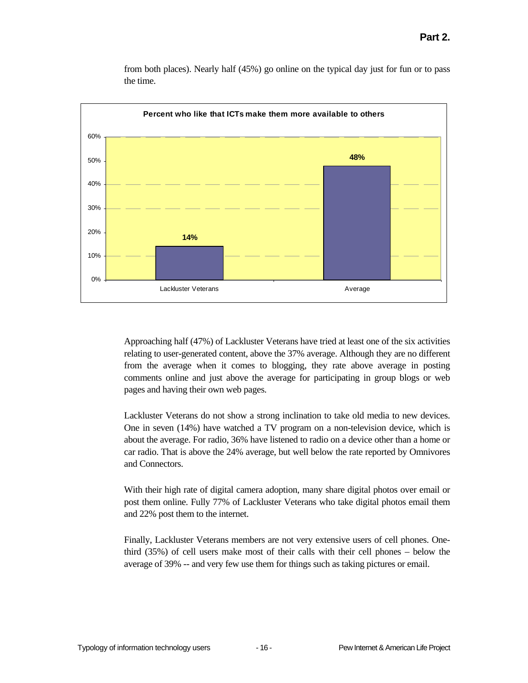

from both places). Nearly half (45%) go online on the typical day just for fun or to pass the time.

Approaching half (47%) of Lackluster Veterans have tried at least one of the six activities relating to user-generated content, above the 37% average. Although they are no different from the average when it comes to blogging, they rate above average in posting comments online and just above the average for participating in group blogs or web pages and having their own web pages.

Lackluster Veterans do not show a strong inclination to take old media to new devices. One in seven (14%) have watched a TV program on a non-television device, which is about the average. For radio, 36% have listened to radio on a device other than a home or car radio. That is above the 24% average, but well below the rate reported by Omnivores and Connectors.

With their high rate of digital camera adoption, many share digital photos over email or post them online. Fully 77% of Lackluster Veterans who take digital photos email them and 22% post them to the internet.

Finally, Lackluster Veterans members are not very extensive users of cell phones. Onethird (35%) of cell users make most of their calls with their cell phones – below the average of 39% -- and very few use them for things such as taking pictures or email.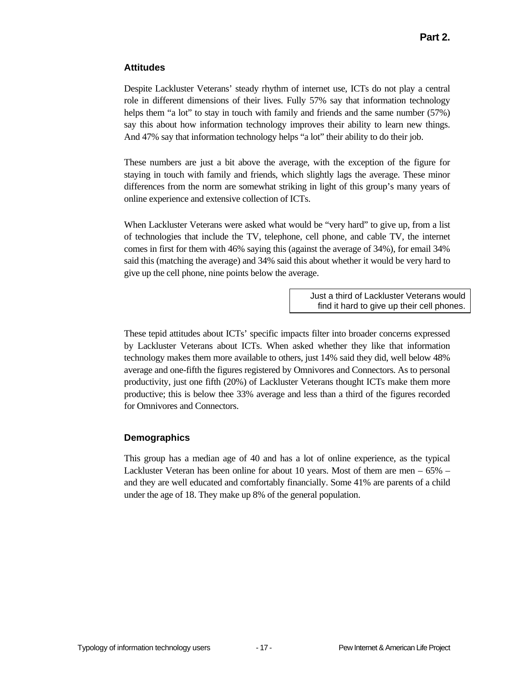#### **Attitudes**

Despite Lackluster Veterans' steady rhythm of internet use, ICTs do not play a central role in different dimensions of their lives. Fully 57% say that information technology helps them "a lot" to stay in touch with family and friends and the same number (57%) say this about how information technology improves their ability to learn new things. And 47% say that information technology helps "a lot" their ability to do their job.

These numbers are just a bit above the average, with the exception of the figure for staying in touch with family and friends, which slightly lags the average. These minor differences from the norm are somewhat striking in light of this group's many years of online experience and extensive collection of ICTs.

When Lackluster Veterans were asked what would be "very hard" to give up, from a list of technologies that include the TV, telephone, cell phone, and cable TV, the internet comes in first for them with 46% saying this (against the average of 34%), for email 34% said this (matching the average) and 34% said this about whether it would be very hard to give up the cell phone, nine points below the average.

> Just a third of Lackluster Veterans would find it hard to give up their cell phones.

These tepid attitudes about ICTs' specific impacts filter into broader concerns expressed by Lackluster Veterans about ICTs. When asked whether they like that information technology makes them more available to others, just 14% said they did, well below 48% average and one-fifth the figures registered by Omnivores and Connectors. As to personal productivity, just one fifth (20%) of Lackluster Veterans thought ICTs make them more productive; this is below thee 33% average and less than a third of the figures recorded for Omnivores and Connectors.

#### **Demographics**

This group has a median age of 40 and has a lot of online experience, as the typical Lackluster Veteran has been online for about 10 years. Most of them are men – 65% – and they are well educated and comfortably financially. Some 41% are parents of a child under the age of 18. They make up 8% of the general population.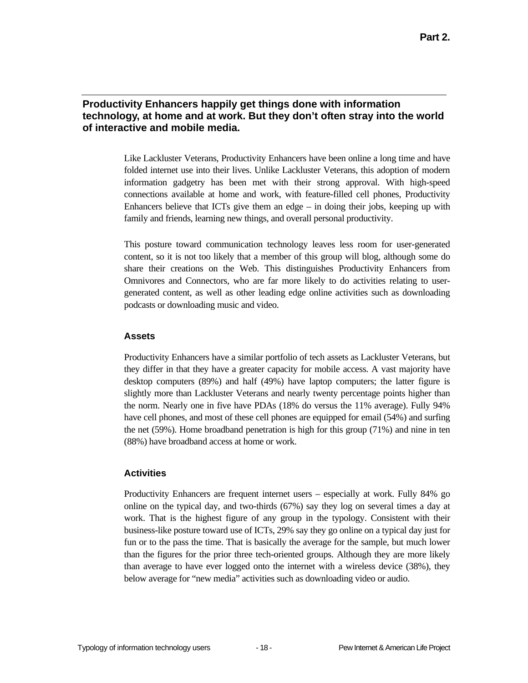#### **Productivity Enhancers happily get things done with information technology, at home and at work. But they don't often stray into the world of interactive and mobile media.**

Like Lackluster Veterans, Productivity Enhancers have been online a long time and have folded internet use into their lives. Unlike Lackluster Veterans, this adoption of modern information gadgetry has been met with their strong approval. With high-speed connections available at home and work, with feature-filled cell phones, Productivity Enhancers believe that ICTs give them an edge  $-$  in doing their jobs, keeping up with family and friends, learning new things, and overall personal productivity.

This posture toward communication technology leaves less room for user-generated content, so it is not too likely that a member of this group will blog, although some do share their creations on the Web. This distinguishes Productivity Enhancers from Omnivores and Connectors, who are far more likely to do activities relating to usergenerated content, as well as other leading edge online activities such as downloading podcasts or downloading music and video.

#### **Assets**

Productivity Enhancers have a similar portfolio of tech assets as Lackluster Veterans, but they differ in that they have a greater capacity for mobile access. A vast majority have desktop computers (89%) and half (49%) have laptop computers; the latter figure is slightly more than Lackluster Veterans and nearly twenty percentage points higher than the norm. Nearly one in five have PDAs (18% do versus the 11% average). Fully 94% have cell phones, and most of these cell phones are equipped for email (54%) and surfing the net (59%). Home broadband penetration is high for this group (71%) and nine in ten (88%) have broadband access at home or work.

#### **Activities**

Productivity Enhancers are frequent internet users – especially at work. Fully 84% go online on the typical day, and two-thirds (67%) say they log on several times a day at work. That is the highest figure of any group in the typology. Consistent with their business-like posture toward use of ICTs, 29% say they go online on a typical day just for fun or to the pass the time. That is basically the average for the sample, but much lower than the figures for the prior three tech-oriented groups. Although they are more likely than average to have ever logged onto the internet with a wireless device (38%), they below average for "new media" activities such as downloading video or audio.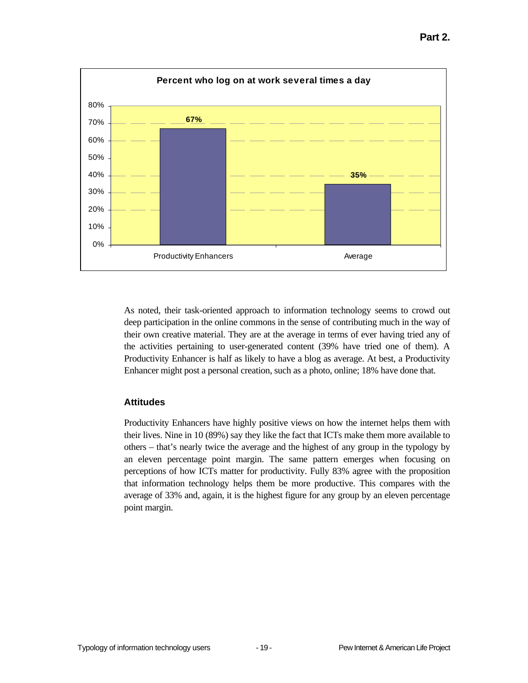

As noted, their task-oriented approach to information technology seems to crowd out deep participation in the online commons in the sense of contributing much in the way of their own creative material. They are at the average in terms of ever having tried any of the activities pertaining to user-generated content (39% have tried one of them). A Productivity Enhancer is half as likely to have a blog as average. At best, a Productivity Enhancer might post a personal creation, such as a photo, online; 18% have done that.

#### **Attitudes**

Productivity Enhancers have highly positive views on how the internet helps them with their lives. Nine in 10 (89%) say they like the fact that ICTs make them more available to others – that's nearly twice the average and the highest of any group in the typology by an eleven percentage point margin. The same pattern emerges when focusing on perceptions of how ICTs matter for productivity. Fully 83% agree with the proposition that information technology helps them be more productive. This compares with the average of 33% and, again, it is the highest figure for any group by an eleven percentage point margin.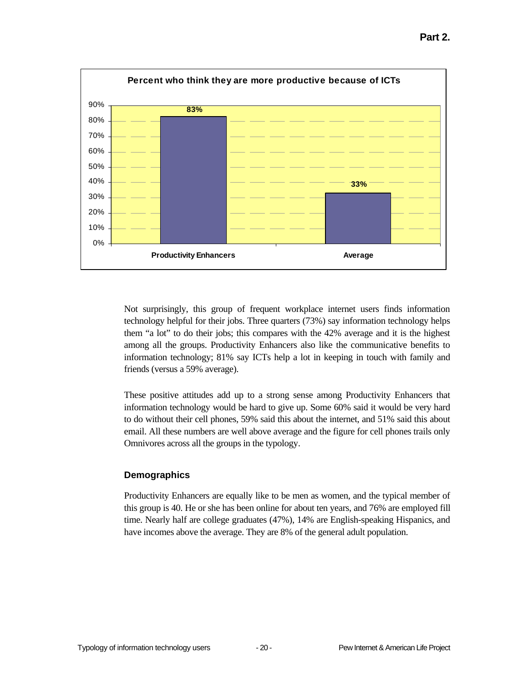

Not surprisingly, this group of frequent workplace internet users finds information technology helpful for their jobs. Three quarters (73%) say information technology helps them "a lot" to do their jobs; this compares with the 42% average and it is the highest among all the groups. Productivity Enhancers also like the communicative benefits to information technology; 81% say ICTs help a lot in keeping in touch with family and friends (versus a 59% average).

These positive attitudes add up to a strong sense among Productivity Enhancers that information technology would be hard to give up. Some 60% said it would be very hard to do without their cell phones, 59% said this about the internet, and 51% said this about email. All these numbers are well above average and the figure for cell phones trails only Omnivores across all the groups in the typology.

#### **Demographics**

Productivity Enhancers are equally like to be men as women, and the typical member of this group is 40. He or she has been online for about ten years, and 76% are employed fill time. Nearly half are college graduates (47%), 14% are English-speaking Hispanics, and have incomes above the average. They are 8% of the general adult population.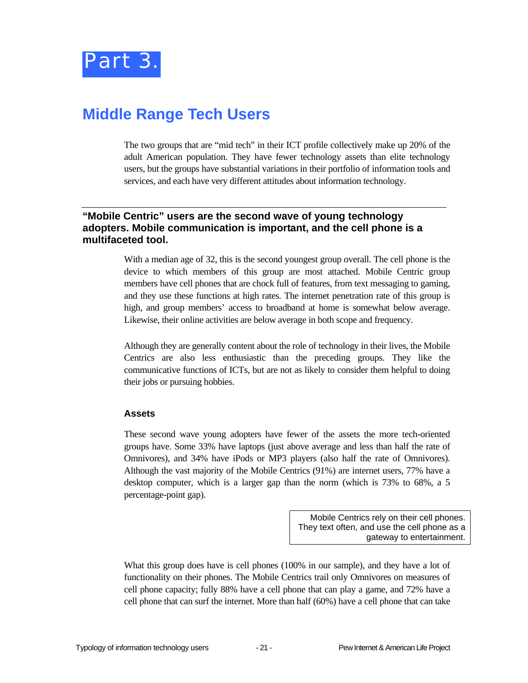

## **Middle Range Tech Users**

The two groups that are "mid tech" in their ICT profile collectively make up 20% of the adult American population. They have fewer technology assets than elite technology users, but the groups have substantial variations in their portfolio of information tools and services, and each have very different attitudes about information technology.

#### **"Mobile Centric" users are the second wave of young technology adopters. Mobile communication is important, and the cell phone is a multifaceted tool.**

With a median age of 32, this is the second youngest group overall. The cell phone is the device to which members of this group are most attached. Mobile Centric group members have cell phones that are chock full of features, from text messaging to gaming, and they use these functions at high rates. The internet penetration rate of this group is high, and group members' access to broadband at home is somewhat below average. Likewise, their online activities are below average in both scope and frequency.

Although they are generally content about the role of technology in their lives, the Mobile Centrics are also less enthusiastic than the preceding groups. They like the communicative functions of ICTs, but are not as likely to consider them helpful to doing their jobs or pursuing hobbies.

#### **Assets**

These second wave young adopters have fewer of the assets the more tech-oriented groups have. Some 33% have laptops (just above average and less than half the rate of Omnivores), and 34% have iPods or MP3 players (also half the rate of Omnivores). Although the vast majority of the Mobile Centrics (91%) are internet users, 77% have a desktop computer, which is a larger gap than the norm (which is 73% to 68%, a 5 percentage-point gap).

> Mobile Centrics rely on their cell phones. They text often, and use the cell phone as a gateway to entertainment.

What this group does have is cell phones (100% in our sample), and they have a lot of functionality on their phones. The Mobile Centrics trail only Omnivores on measures of cell phone capacity; fully 88% have a cell phone that can play a game, and 72% have a cell phone that can surf the internet. More than half (60%) have a cell phone that can take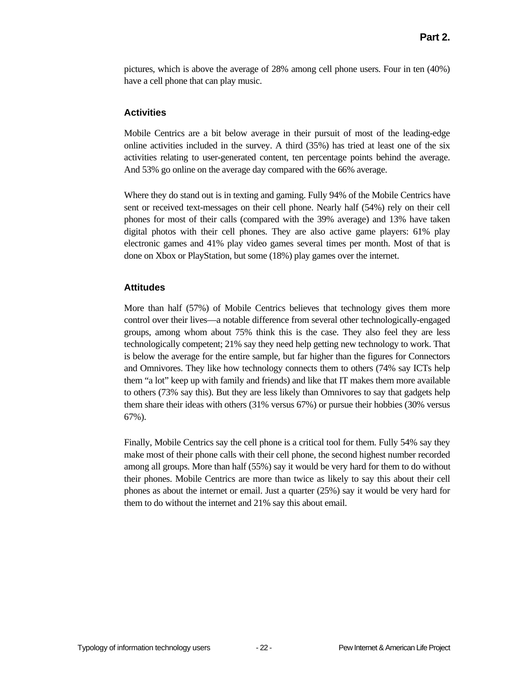pictures, which is above the average of 28% among cell phone users. Four in ten (40%) have a cell phone that can play music.

#### **Activities**

Mobile Centrics are a bit below average in their pursuit of most of the leading-edge online activities included in the survey. A third (35%) has tried at least one of the six activities relating to user-generated content, ten percentage points behind the average. And 53% go online on the average day compared with the 66% average.

Where they do stand out is in texting and gaming. Fully 94% of the Mobile Centrics have sent or received text-messages on their cell phone. Nearly half (54%) rely on their cell phones for most of their calls (compared with the 39% average) and 13% have taken digital photos with their cell phones. They are also active game players: 61% play electronic games and 41% play video games several times per month. Most of that is done on Xbox or PlayStation, but some (18%) play games over the internet.

#### **Attitudes**

More than half (57%) of Mobile Centrics believes that technology gives them more control over their lives—a notable difference from several other technologically-engaged groups, among whom about 75% think this is the case. They also feel they are less technologically competent; 21% say they need help getting new technology to work. That is below the average for the entire sample, but far higher than the figures for Connectors and Omnivores. They like how technology connects them to others (74% say ICTs help them "a lot" keep up with family and friends) and like that IT makes them more available to others (73% say this). But they are less likely than Omnivores to say that gadgets help them share their ideas with others (31% versus 67%) or pursue their hobbies (30% versus 67%).

Finally, Mobile Centrics say the cell phone is a critical tool for them. Fully 54% say they make most of their phone calls with their cell phone, the second highest number recorded among all groups. More than half (55%) say it would be very hard for them to do without their phones. Mobile Centrics are more than twice as likely to say this about their cell phones as about the internet or email. Just a quarter (25%) say it would be very hard for them to do without the internet and 21% say this about email.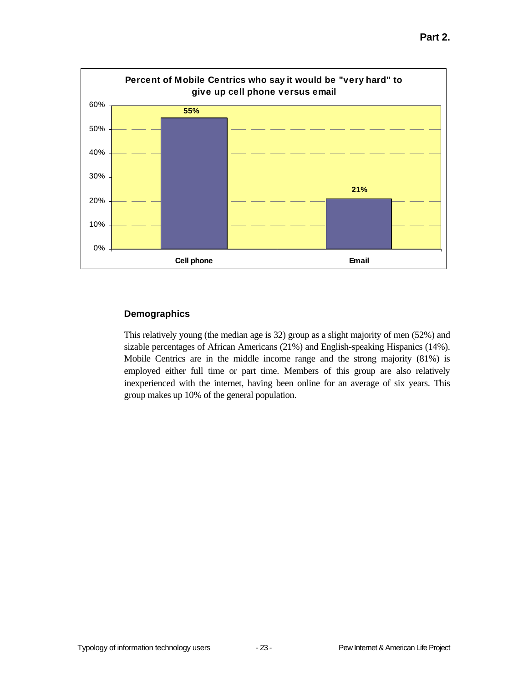

#### **Demographics**

This relatively young (the median age is 32) group as a slight majority of men (52%) and sizable percentages of African Americans (21%) and English-speaking Hispanics (14%). Mobile Centrics are in the middle income range and the strong majority (81%) is employed either full time or part time. Members of this group are also relatively inexperienced with the internet, having been online for an average of six years. This group makes up 10% of the general population.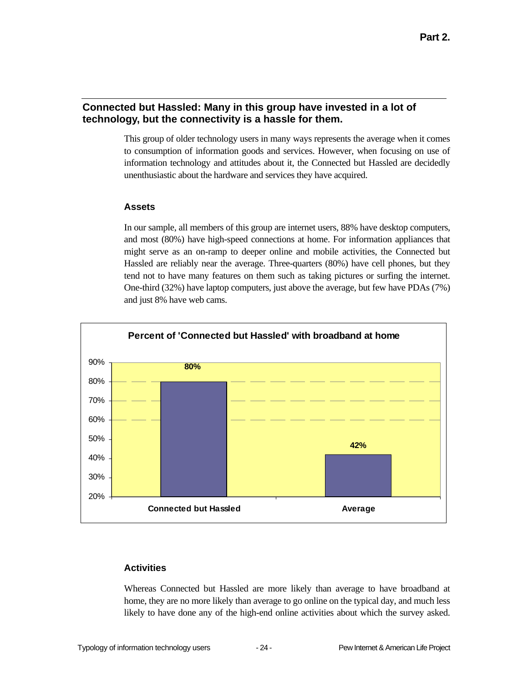#### **Connected but Hassled: Many in this group have invested in a lot of technology, but the connectivity is a hassle for them.**

This group of older technology users in many ways represents the average when it comes to consumption of information goods and services. However, when focusing on use of information technology and attitudes about it, the Connected but Hassled are decidedly unenthusiastic about the hardware and services they have acquired.

#### **Assets**

In our sample, all members of this group are internet users, 88% have desktop computers, and most (80%) have high-speed connections at home. For information appliances that might serve as an on-ramp to deeper online and mobile activities, the Connected but Hassled are reliably near the average. Three-quarters (80%) have cell phones, but they tend not to have many features on them such as taking pictures or surfing the internet. One-third (32%) have laptop computers, just above the average, but few have PDAs (7%) and just 8% have web cams.



#### **Activities**

Whereas Connected but Hassled are more likely than average to have broadband at home, they are no more likely than average to go online on the typical day, and much less likely to have done any of the high-end online activities about which the survey asked.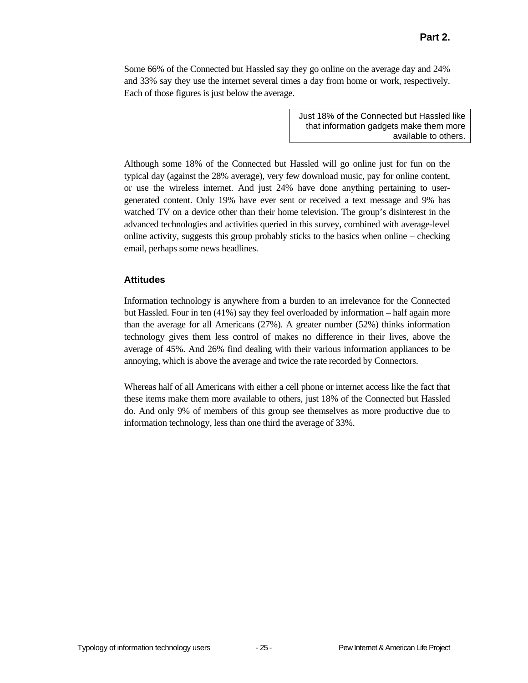Some 66% of the Connected but Hassled say they go online on the average day and 24% and 33% say they use the internet several times a day from home or work, respectively. Each of those figures is just below the average.

> Just 18% of the Connected but Hassled like that information gadgets make them more available to others.

Although some 18% of the Connected but Hassled will go online just for fun on the typical day (against the 28% average), very few download music, pay for online content, or use the wireless internet. And just 24% have done anything pertaining to usergenerated content. Only 19% have ever sent or received a text message and 9% has watched TV on a device other than their home television. The group's disinterest in the advanced technologies and activities queried in this survey, combined with average-level online activity, suggests this group probably sticks to the basics when online – checking email, perhaps some news headlines.

#### **Attitudes**

Information technology is anywhere from a burden to an irrelevance for the Connected but Hassled. Four in ten (41%) say they feel overloaded by information – half again more than the average for all Americans (27%). A greater number (52%) thinks information technology gives them less control of makes no difference in their lives, above the average of 45%. And 26% find dealing with their various information appliances to be annoying, which is above the average and twice the rate recorded by Connectors.

Whereas half of all Americans with either a cell phone or internet access like the fact that these items make them more available to others, just 18% of the Connected but Hassled do. And only 9% of members of this group see themselves as more productive due to information technology, less than one third the average of 33%.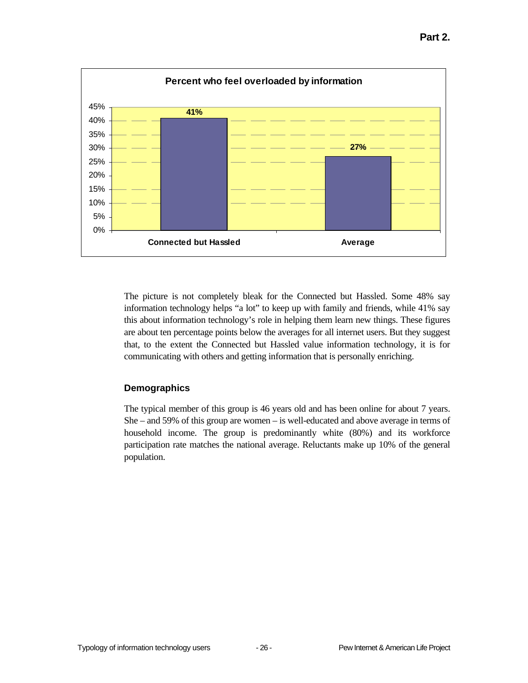

The picture is not completely bleak for the Connected but Hassled. Some 48% say information technology helps "a lot" to keep up with family and friends, while 41% say this about information technology's role in helping them learn new things. These figures are about ten percentage points below the averages for all internet users. But they suggest that, to the extent the Connected but Hassled value information technology, it is for communicating with others and getting information that is personally enriching.

#### **Demographics**

The typical member of this group is 46 years old and has been online for about 7 years. She – and 59% of this group are women – is well-educated and above average in terms of household income. The group is predominantly white (80%) and its workforce participation rate matches the national average. Reluctants make up 10% of the general population.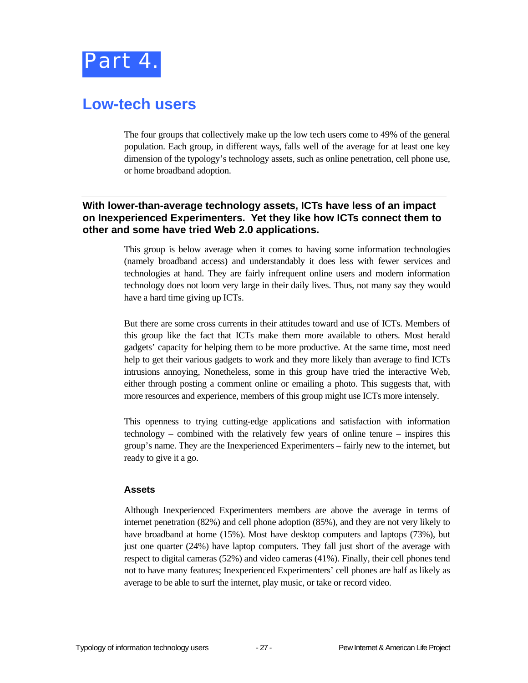

## **Low-tech users**

The four groups that collectively make up the low tech users come to 49% of the general population. Each group, in different ways, falls well of the average for at least one key dimension of the typology's technology assets, such as online penetration, cell phone use, or home broadband adoption.

#### **With lower-than-average technology assets, ICTs have less of an impact on Inexperienced Experimenters. Yet they like how ICTs connect them to other and some have tried Web 2.0 applications.**

This group is below average when it comes to having some information technologies (namely broadband access) and understandably it does less with fewer services and technologies at hand. They are fairly infrequent online users and modern information technology does not loom very large in their daily lives. Thus, not many say they would have a hard time giving up ICTs.

But there are some cross currents in their attitudes toward and use of ICTs. Members of this group like the fact that ICTs make them more available to others. Most herald gadgets' capacity for helping them to be more productive. At the same time, most need help to get their various gadgets to work and they more likely than average to find ICTs intrusions annoying, Nonetheless, some in this group have tried the interactive Web, either through posting a comment online or emailing a photo. This suggests that, with more resources and experience, members of this group might use ICTs more intensely.

This openness to trying cutting-edge applications and satisfaction with information technology – combined with the relatively few years of online tenure – inspires this group's name. They are the Inexperienced Experimenters – fairly new to the internet, but ready to give it a go.

#### **Assets**

Although Inexperienced Experimenters members are above the average in terms of internet penetration (82%) and cell phone adoption (85%), and they are not very likely to have broadband at home (15%). Most have desktop computers and laptops (73%), but just one quarter (24%) have laptop computers. They fall just short of the average with respect to digital cameras (52%) and video cameras (41%). Finally, their cell phones tend not to have many features; Inexperienced Experimenters' cell phones are half as likely as average to be able to surf the internet, play music, or take or record video.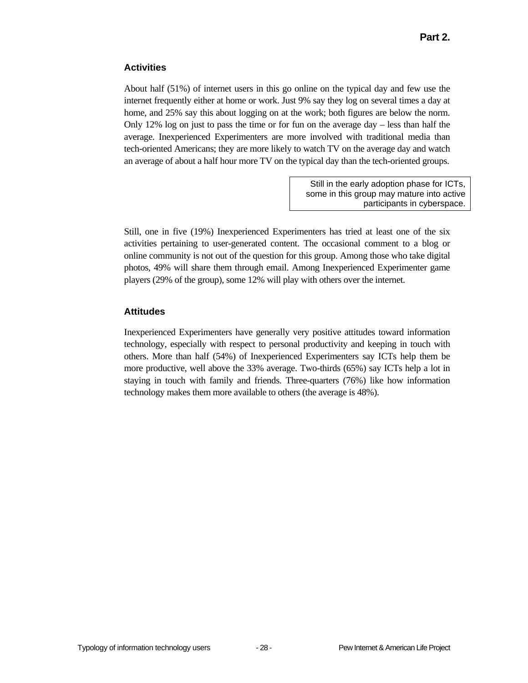#### **Activities**

About half (51%) of internet users in this go online on the typical day and few use the internet frequently either at home or work. Just 9% say they log on several times a day at home, and 25% say this about logging on at the work; both figures are below the norm. Only 12% log on just to pass the time or for fun on the average day – less than half the average. Inexperienced Experimenters are more involved with traditional media than tech-oriented Americans; they are more likely to watch TV on the average day and watch an average of about a half hour more TV on the typical day than the tech-oriented groups.

> Still in the early adoption phase for ICTs, some in this group may mature into active participants in cyberspace.

Still, one in five (19%) Inexperienced Experimenters has tried at least one of the six activities pertaining to user-generated content. The occasional comment to a blog or online community is not out of the question for this group. Among those who take digital photos, 49% will share them through email. Among Inexperienced Experimenter game players (29% of the group), some 12% will play with others over the internet.

#### **Attitudes**

Inexperienced Experimenters have generally very positive attitudes toward information technology, especially with respect to personal productivity and keeping in touch with others. More than half (54%) of Inexperienced Experimenters say ICTs help them be more productive, well above the 33% average. Two-thirds (65%) say ICTs help a lot in staying in touch with family and friends. Three-quarters (76%) like how information technology makes them more available to others (the average is 48%).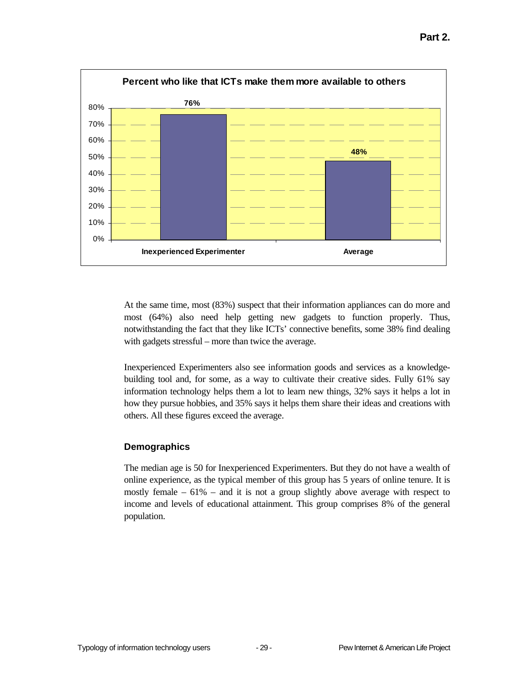

At the same time, most (83%) suspect that their information appliances can do more and most (64%) also need help getting new gadgets to function properly. Thus, notwithstanding the fact that they like ICTs' connective benefits, some 38% find dealing with gadgets stressful – more than twice the average.

Inexperienced Experimenters also see information goods and services as a knowledgebuilding tool and, for some, as a way to cultivate their creative sides. Fully 61% say information technology helps them a lot to learn new things, 32% says it helps a lot in how they pursue hobbies, and 35% says it helps them share their ideas and creations with others. All these figures exceed the average.

#### **Demographics**

The median age is 50 for Inexperienced Experimenters. But they do not have a wealth of online experience, as the typical member of this group has 5 years of online tenure. It is mostly female  $-61\%$  – and it is not a group slightly above average with respect to income and levels of educational attainment. This group comprises 8% of the general population.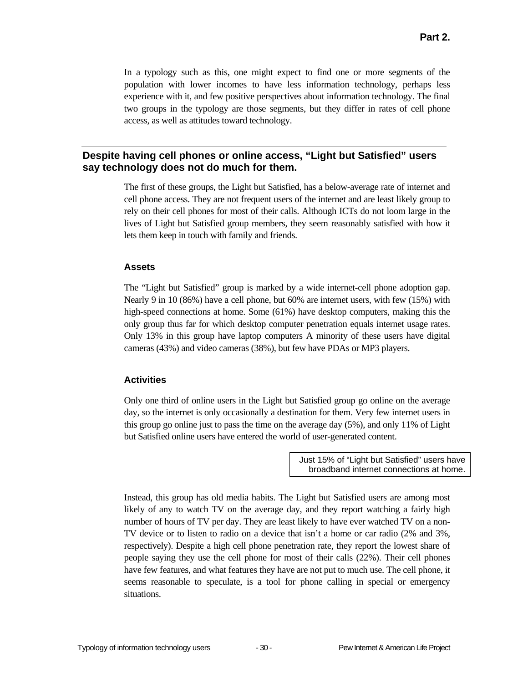In a typology such as this, one might expect to find one or more segments of the population with lower incomes to have less information technology, perhaps less experience with it, and few positive perspectives about information technology. The final two groups in the typology are those segments, but they differ in rates of cell phone access, as well as attitudes toward technology.

#### **Despite having cell phones or online access, "Light but Satisfied" users say technology does not do much for them.**

The first of these groups, the Light but Satisfied, has a below-average rate of internet and cell phone access. They are not frequent users of the internet and are least likely group to rely on their cell phones for most of their calls. Although ICTs do not loom large in the lives of Light but Satisfied group members, they seem reasonably satisfied with how it lets them keep in touch with family and friends.

#### **Assets**

The "Light but Satisfied" group is marked by a wide internet-cell phone adoption gap. Nearly 9 in 10 (86%) have a cell phone, but 60% are internet users, with few (15%) with high-speed connections at home. Some (61%) have desktop computers, making this the only group thus far for which desktop computer penetration equals internet usage rates. Only 13% in this group have laptop computers A minority of these users have digital cameras (43%) and video cameras (38%), but few have PDAs or MP3 players.

#### **Activities**

Only one third of online users in the Light but Satisfied group go online on the average day, so the internet is only occasionally a destination for them. Very few internet users in this group go online just to pass the time on the average day (5%), and only 11% of Light but Satisfied online users have entered the world of user-generated content.

> Just 15% of "Light but Satisfied" users have broadband internet connections at home.

Instead, this group has old media habits. The Light but Satisfied users are among most likely of any to watch TV on the average day, and they report watching a fairly high number of hours of TV per day. They are least likely to have ever watched TV on a non-TV device or to listen to radio on a device that isn't a home or car radio (2% and 3%, respectively). Despite a high cell phone penetration rate, they report the lowest share of people saying they use the cell phone for most of their calls (22%). Their cell phones have few features, and what features they have are not put to much use. The cell phone, it seems reasonable to speculate, is a tool for phone calling in special or emergency situations.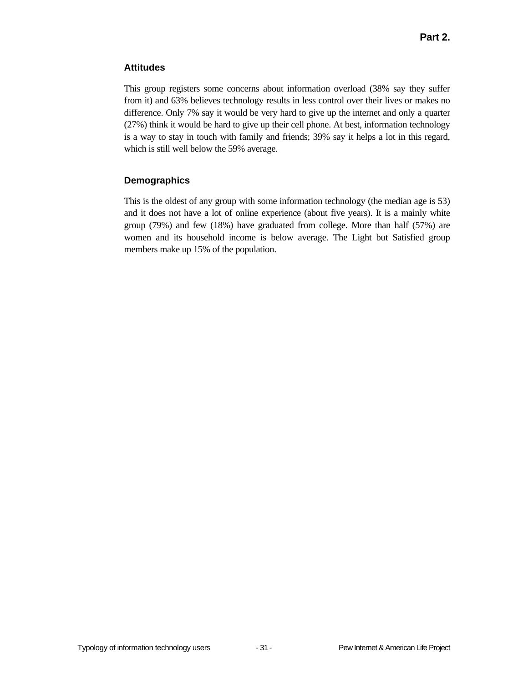#### **Attitudes**

This group registers some concerns about information overload (38% say they suffer from it) and 63% believes technology results in less control over their lives or makes no difference. Only 7% say it would be very hard to give up the internet and only a quarter (27%) think it would be hard to give up their cell phone. At best, information technology is a way to stay in touch with family and friends; 39% say it helps a lot in this regard, which is still well below the 59% average.

#### **Demographics**

This is the oldest of any group with some information technology (the median age is 53) and it does not have a lot of online experience (about five years). It is a mainly white group (79%) and few (18%) have graduated from college. More than half (57%) are women and its household income is below average. The Light but Satisfied group members make up 15% of the population.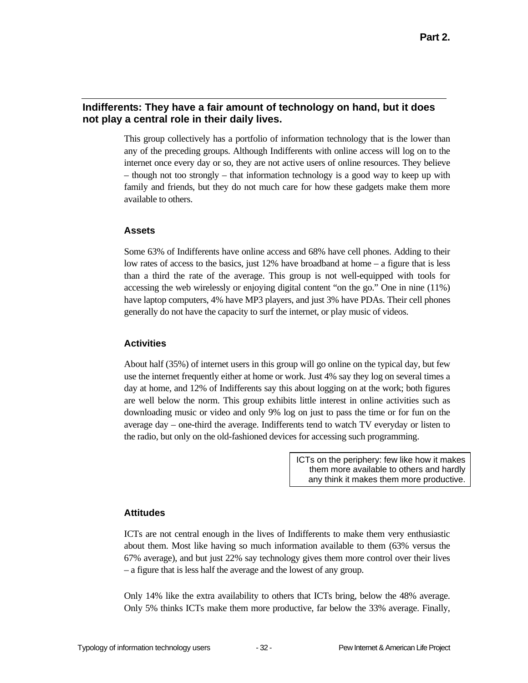#### **Indifferents: They have a fair amount of technology on hand, but it does not play a central role in their daily lives.**

This group collectively has a portfolio of information technology that is the lower than any of the preceding groups. Although Indifferents with online access will log on to the internet once every day or so, they are not active users of online resources. They believe – though not too strongly – that information technology is a good way to keep up with family and friends, but they do not much care for how these gadgets make them more available to others.

#### **Assets**

Some 63% of Indifferents have online access and 68% have cell phones. Adding to their low rates of access to the basics, just 12% have broadband at home – a figure that is less than a third the rate of the average. This group is not well-equipped with tools for accessing the web wirelessly or enjoying digital content "on the go." One in nine (11%) have laptop computers, 4% have MP3 players, and just 3% have PDAs. Their cell phones generally do not have the capacity to surf the internet, or play music of videos.

#### **Activities**

About half (35%) of internet users in this group will go online on the typical day, but few use the internet frequently either at home or work. Just 4% say they log on several times a day at home, and 12% of Indifferents say this about logging on at the work; both figures are well below the norm. This group exhibits little interest in online activities such as downloading music or video and only 9% log on just to pass the time or for fun on the average day – one-third the average. Indifferents tend to watch TV everyday or listen to the radio, but only on the old-fashioned devices for accessing such programming.

> ICTs on the periphery: few like how it makes them more available to others and hardly any think it makes them more productive.

#### **Attitudes**

ICTs are not central enough in the lives of Indifferents to make them very enthusiastic about them. Most like having so much information available to them (63% versus the 67% average), and but just 22% say technology gives them more control over their lives – a figure that is less half the average and the lowest of any group.

Only 14% like the extra availability to others that ICTs bring, below the 48% average. Only 5% thinks ICTs make them more productive, far below the 33% average. Finally,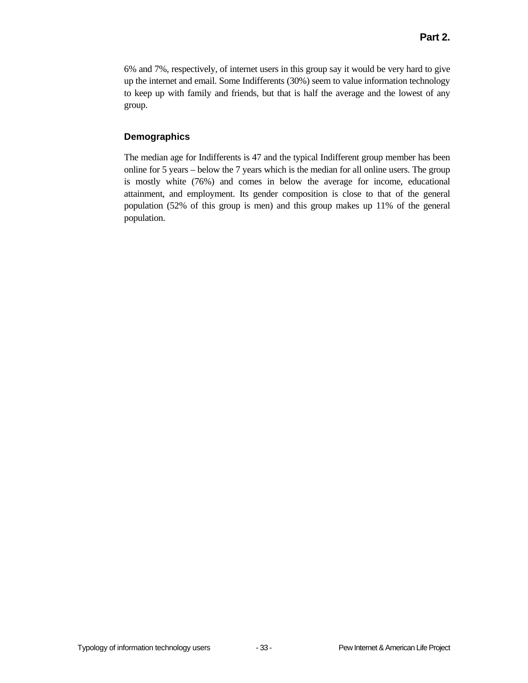6% and 7%, respectively, of internet users in this group say it would be very hard to give up the internet and email. Some Indifferents (30%) seem to value information technology to keep up with family and friends, but that is half the average and the lowest of any group.

#### **Demographics**

The median age for Indifferents is 47 and the typical Indifferent group member has been online for 5 years – below the 7 years which is the median for all online users. The group is mostly white (76%) and comes in below the average for income, educational attainment, and employment. Its gender composition is close to that of the general population (52% of this group is men) and this group makes up 11% of the general population.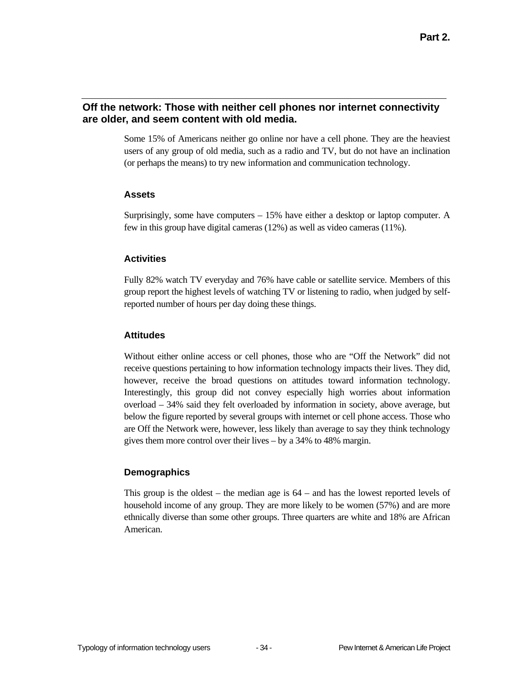#### **Off the network: Those with neither cell phones nor internet connectivity are older, and seem content with old media.**

Some 15% of Americans neither go online nor have a cell phone. They are the heaviest users of any group of old media, such as a radio and TV, but do not have an inclination (or perhaps the means) to try new information and communication technology.

#### **Assets**

Surprisingly, some have computers – 15% have either a desktop or laptop computer. A few in this group have digital cameras (12%) as well as video cameras (11%).

#### **Activities**

Fully 82% watch TV everyday and 76% have cable or satellite service. Members of this group report the highest levels of watching TV or listening to radio, when judged by selfreported number of hours per day doing these things.

#### **Attitudes**

Without either online access or cell phones, those who are "Off the Network" did not receive questions pertaining to how information technology impacts their lives. They did, however, receive the broad questions on attitudes toward information technology. Interestingly, this group did not convey especially high worries about information overload – 34% said they felt overloaded by information in society, above average, but below the figure reported by several groups with internet or cell phone access. Those who are Off the Network were, however, less likely than average to say they think technology gives them more control over their lives – by a 34% to 48% margin.

#### **Demographics**

This group is the oldest – the median age is 64 – and has the lowest reported levels of household income of any group. They are more likely to be women (57%) and are more ethnically diverse than some other groups. Three quarters are white and 18% are African American.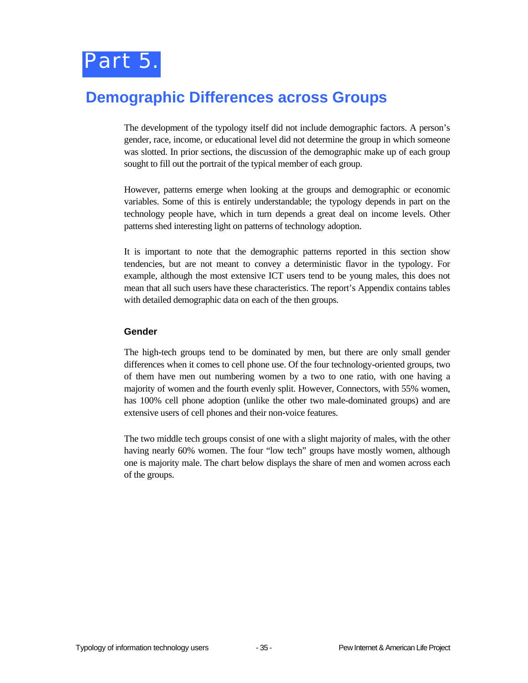## **Demographic Differences across Groups**

The development of the typology itself did not include demographic factors. A person's gender, race, income, or educational level did not determine the group in which someone was slotted. In prior sections, the discussion of the demographic make up of each group sought to fill out the portrait of the typical member of each group.

However, patterns emerge when looking at the groups and demographic or economic variables. Some of this is entirely understandable; the typology depends in part on the technology people have, which in turn depends a great deal on income levels. Other patterns shed interesting light on patterns of technology adoption.

It is important to note that the demographic patterns reported in this section show tendencies, but are not meant to convey a deterministic flavor in the typology. For example, although the most extensive ICT users tend to be young males, this does not mean that all such users have these characteristics. The report's Appendix contains tables with detailed demographic data on each of the then groups.

#### **Gender**

The high-tech groups tend to be dominated by men, but there are only small gender differences when it comes to cell phone use. Of the four technology-oriented groups, two of them have men out numbering women by a two to one ratio, with one having a majority of women and the fourth evenly split. However, Connectors, with 55% women, has 100% cell phone adoption (unlike the other two male-dominated groups) and are extensive users of cell phones and their non-voice features.

The two middle tech groups consist of one with a slight majority of males, with the other having nearly 60% women. The four "low tech" groups have mostly women, although one is majority male. The chart below displays the share of men and women across each of the groups.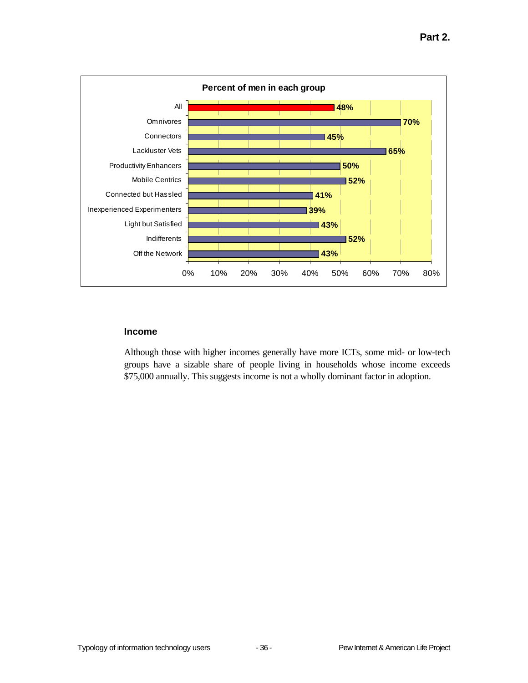

#### **Income**

Although those with higher incomes generally have more ICTs, some mid- or low-tech groups have a sizable share of people living in households whose income exceeds \$75,000 annually. This suggests income is not a wholly dominant factor in adoption.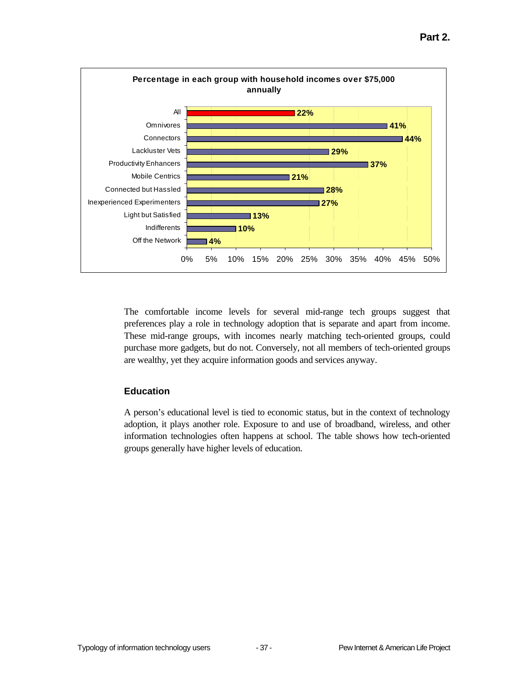

The comfortable income levels for several mid-range tech groups suggest that preferences play a role in technology adoption that is separate and apart from income. These mid-range groups, with incomes nearly matching tech-oriented groups, could purchase more gadgets, but do not. Conversely, not all members of tech-oriented groups are wealthy, yet they acquire information goods and services anyway.

#### **Education**

A person's educational level is tied to economic status, but in the context of technology adoption, it plays another role. Exposure to and use of broadband, wireless, and other information technologies often happens at school. The table shows how tech-oriented groups generally have higher levels of education.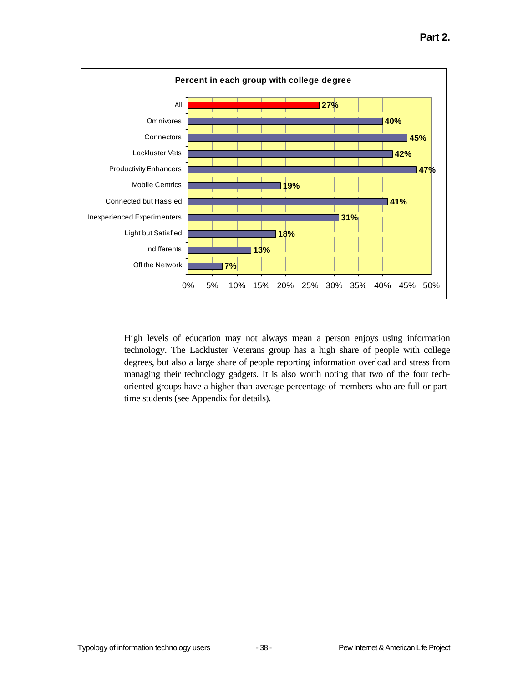

High levels of education may not always mean a person enjoys using information technology. The Lackluster Veterans group has a high share of people with college degrees, but also a large share of people reporting information overload and stress from managing their technology gadgets. It is also worth noting that two of the four techoriented groups have a higher-than-average percentage of members who are full or parttime students (see Appendix for details).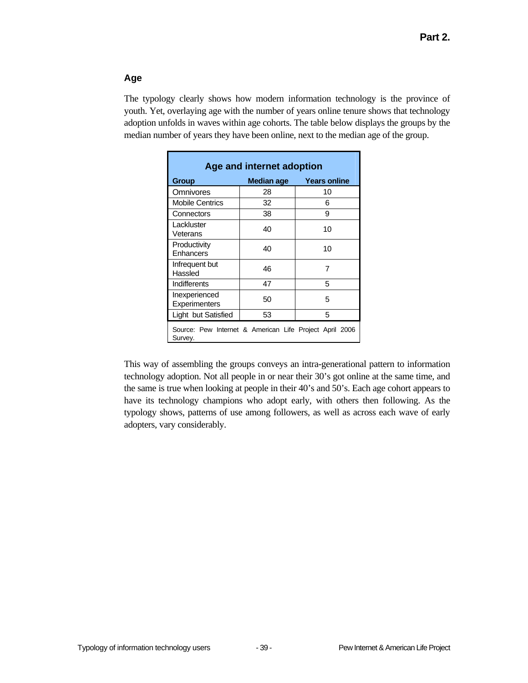#### **Age**

The typology clearly shows how modern information technology is the province of youth. Yet, overlaying age with the number of years online tenure shows that technology adoption unfolds in waves within age cohorts. The table below displays the groups by the median number of years they have been online, next to the median age of the group.

| Age and internet adoption                                          |                   |                     |  |  |  |  |  |
|--------------------------------------------------------------------|-------------------|---------------------|--|--|--|--|--|
| <b>Group</b>                                                       | <b>Median age</b> | <b>Years online</b> |  |  |  |  |  |
| Omnivores                                                          | 28                | 10                  |  |  |  |  |  |
| <b>Mobile Centrics</b>                                             | 32                | 6                   |  |  |  |  |  |
| Connectors                                                         | 38                | 9                   |  |  |  |  |  |
| Lackluster<br>Veterans                                             | 40                | 10                  |  |  |  |  |  |
| Productivity<br>Enhancers                                          | 40                | 10                  |  |  |  |  |  |
| Infrequent but<br>Hassled                                          | 46                | 7                   |  |  |  |  |  |
| Indifferents                                                       | 47                | 5                   |  |  |  |  |  |
| Inexperienced<br>Experimenters                                     | 50                | 5                   |  |  |  |  |  |
| Light but Satisfied                                                | 53                | 5                   |  |  |  |  |  |
| Source: Pew Internet & American Life Project April 2006<br>Survey. |                   |                     |  |  |  |  |  |

This way of assembling the groups conveys an intra-generational pattern to information technology adoption. Not all people in or near their 30's got online at the same time, and the same is true when looking at people in their 40's and 50's. Each age cohort appears to have its technology champions who adopt early, with others then following. As the typology shows, patterns of use among followers, as well as across each wave of early adopters, vary considerably.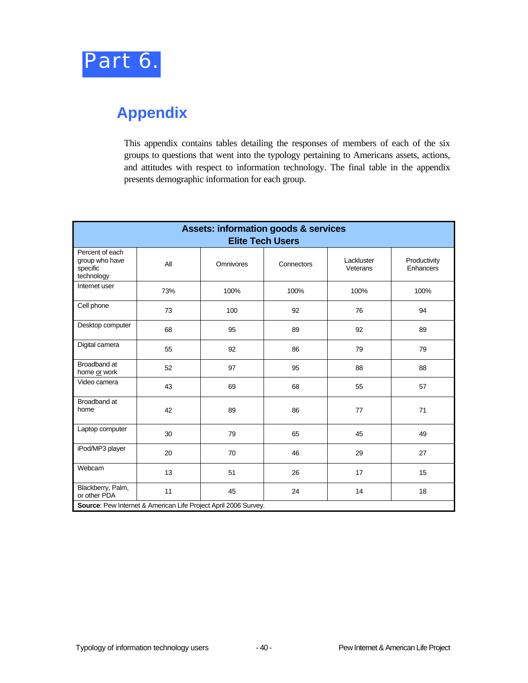

## **Appendix**

This appendix contains tables detailing the responses of members of each of the six groups to questions that went into the typology pertaining to Americans assets, actions, and attitudes with respect to information technology. The final table in the appendix presents demographic information for each group.

| <b>Assets: information goods &amp; services</b><br><b>Elite Tech Users</b> |     |           |            |                        |                           |  |  |
|----------------------------------------------------------------------------|-----|-----------|------------|------------------------|---------------------------|--|--|
| Percent of each<br>group who have<br>specific<br>technology                | All | Omnivores | Connectors | Lackluster<br>Veterans | Productivity<br>Enhancers |  |  |
| Internet user                                                              | 73% | 100%      | 100%       | 100%                   | 100%                      |  |  |
| Cell phone                                                                 | 73  | 100       | 92         | 76                     | 94                        |  |  |
| Desktop computer                                                           | 68  | 95        | 89         | 92                     | 89                        |  |  |
| Digital camera                                                             | 55  | 92        | 86         | 79                     | 79                        |  |  |
| Broadband at<br>home or work                                               | 52  | 97        | 95         | 88                     | 88                        |  |  |
| Video camera                                                               | 43  | 69        | 68         | 55                     | 57                        |  |  |
| Broadband at<br>home                                                       | 42  | 89        | 86         | 77                     | 71                        |  |  |
| Laptop computer                                                            | 30  | 79        | 65         | 45                     | 49                        |  |  |
| iPod/MP3 player                                                            | 20  | 70        | 46         | 29                     | 27                        |  |  |
| Webcam                                                                     | 13  | 51        | 26         | 17                     | 15                        |  |  |
| Blackberry, Palm,<br>or other PDA                                          | 11  | 45        | 24         | 14                     | 18                        |  |  |
| Source: Pew Internet & American Life Project April 2006 Survey.            |     |           |            |                        |                           |  |  |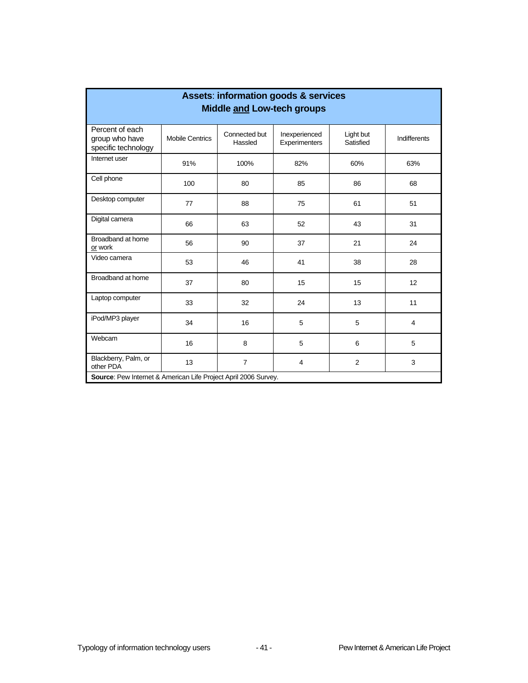| <b>Assets: information goods &amp; services</b><br><b>Middle and Low-tech groups</b> |                        |                          |                                |                        |              |  |  |
|--------------------------------------------------------------------------------------|------------------------|--------------------------|--------------------------------|------------------------|--------------|--|--|
| Percent of each<br>group who have<br>specific technology                             | <b>Mobile Centrics</b> | Connected but<br>Hassled | Inexperienced<br>Experimenters | Light but<br>Satisfied | Indifferents |  |  |
| Internet user                                                                        | 91%                    | 100%                     | 82%                            | 60%                    | 63%          |  |  |
| Cell phone                                                                           | 100                    | 80                       | 85                             | 86                     | 68           |  |  |
| Desktop computer                                                                     | 77                     | 88                       | 75                             | 61                     | 51           |  |  |
| Digital camera                                                                       | 66                     | 63                       | 52                             | 43                     | 31           |  |  |
| Broadband at home<br>or work                                                         | 56                     | 90                       | 37                             | 21                     | 24           |  |  |
| Video camera                                                                         | 53                     | 46                       | 41                             | 38                     | 28           |  |  |
| Broadband at home                                                                    | 37                     | 80                       | 15                             | 15                     | 12           |  |  |
| Laptop computer                                                                      | 33                     | 32                       | 24                             | 13                     | 11           |  |  |
| iPod/MP3 player                                                                      | 34                     | 16                       | 5                              | 5                      | 4            |  |  |
| Webcam                                                                               | 16                     | 8                        | 5                              | 6                      | 5            |  |  |
| Blackberry, Palm, or<br>other PDA                                                    | 13                     | $\overline{7}$           | $\overline{4}$                 | 2                      | 3            |  |  |
| Source: Pew Internet & American Life Project April 2006 Survey.                      |                        |                          |                                |                        |              |  |  |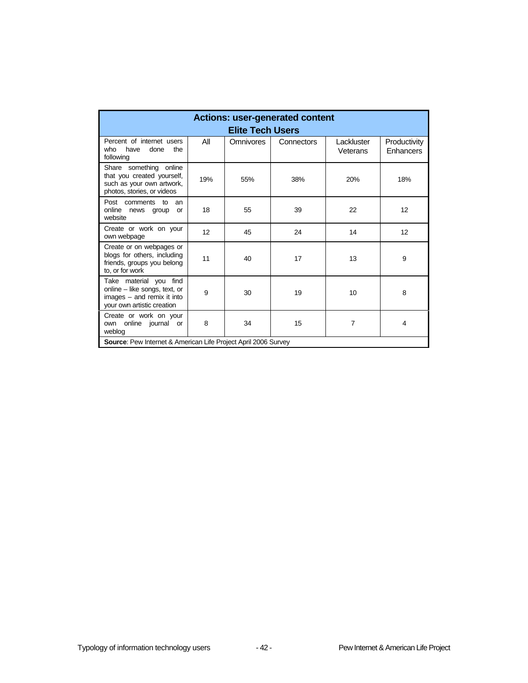| <b>Actions: user-generated content</b>                                                                                   |     |                  |            |                        |                           |  |  |
|--------------------------------------------------------------------------------------------------------------------------|-----|------------------|------------|------------------------|---------------------------|--|--|
| <b>Elite Tech Users</b>                                                                                                  |     |                  |            |                        |                           |  |  |
| Percent of internet users<br>have<br>done<br>the<br>who.<br>following                                                    | All | <b>Omnivores</b> | Connectors | Lackluster<br>Veterans | Productivity<br>Enhancers |  |  |
| Share something online<br>that you created yourself,<br>such as your own artwork,<br>photos, stories, or videos          | 19% | 55%              | 38%        | 20%                    | 18%                       |  |  |
| Post comments to<br>an<br>online<br>news group<br>or<br>website                                                          | 18  | 55               | 39         | 22                     | 12                        |  |  |
| Create or work on your<br>own webpage                                                                                    | 12  | 45               | 24         | 14                     | 12                        |  |  |
| Create or on webpages or<br>blogs for others, including<br>friends, groups you belong<br>to, or for work                 | 11  | 40               | 17         | 13                     | 9                         |  |  |
| Take material you<br>find<br>online – like songs, text, or<br>$images - and remix it into$<br>your own artistic creation | 9   | 30               | 19         | 10                     | 8                         |  |  |
| Create or work on your<br>own online journal or<br>weblog                                                                | 8   | 34               | 15         | 7                      | 4                         |  |  |
| <b>Source:</b> Pew Internet & American Life Project April 2006 Survey                                                    |     |                  |            |                        |                           |  |  |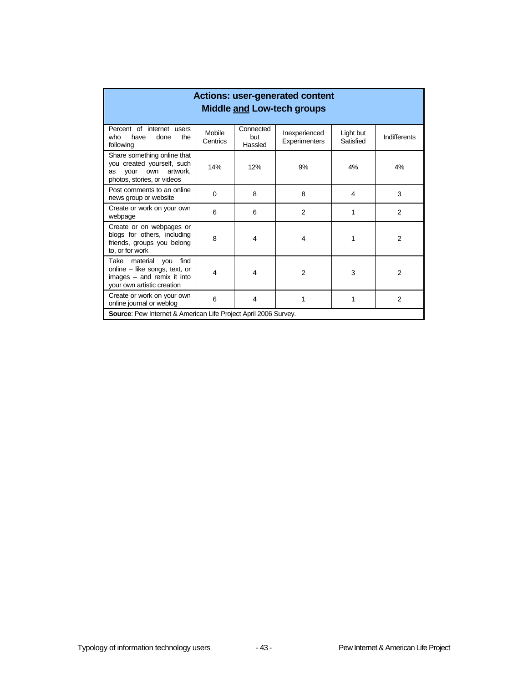| <b>Actions: user-generated content</b><br>Middle and Low-tech groups                                                        |                    |                             |                                |                        |                |  |  |  |  |
|-----------------------------------------------------------------------------------------------------------------------------|--------------------|-----------------------------|--------------------------------|------------------------|----------------|--|--|--|--|
| Percent of internet users<br>who<br>have<br>done<br>the<br>following                                                        | Mobile<br>Centrics | Connected<br>but<br>Hassled | Inexperienced<br>Experimenters | Light but<br>Satisfied | Indifferents   |  |  |  |  |
| Share something online that<br>you created yourself, such<br>your own artwork,<br>as<br>photos, stories, or videos          | 14%                | 12%                         | 9%                             | 4%                     | 4%             |  |  |  |  |
| Post comments to an online<br>news group or website                                                                         | $\mathbf{0}$       | 8                           | 8                              | 4                      | 3              |  |  |  |  |
| Create or work on your own<br>webpage                                                                                       | 6                  | 6                           | $\overline{2}$                 | 1                      | $\overline{2}$ |  |  |  |  |
| Create or on webpages or<br>blogs for others, including<br>friends, groups you belong<br>to, or for work                    | 8                  | $\overline{\mathcal{A}}$    | 4                              | 1                      | $\mathfrak{p}$ |  |  |  |  |
| Take material<br>find<br>you<br>online - like songs, text, or<br>$images - and remix it into$<br>your own artistic creation | 4                  | $\overline{4}$              | $\overline{2}$                 | 3                      | 2              |  |  |  |  |
| Create or work on your own<br>online journal or weblog                                                                      | 6                  | $\overline{\mathbf{A}}$     | 1                              | 1                      | 2              |  |  |  |  |
| <b>Source:</b> Pew Internet & American Life Project April 2006 Survey.                                                      |                    |                             |                                |                        |                |  |  |  |  |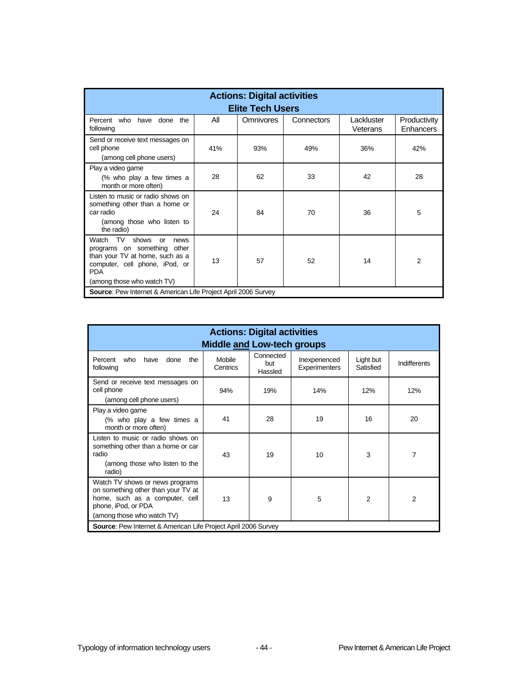| <b>Actions: Digital activities</b><br><b>Elite Tech Users</b>                                                                                                                   |     |           |            |                        |                           |  |  |  |  |
|---------------------------------------------------------------------------------------------------------------------------------------------------------------------------------|-----|-----------|------------|------------------------|---------------------------|--|--|--|--|
| Percent who have done the<br>following                                                                                                                                          | All | Omnivores | Connectors | Lackluster<br>Veterans | Productivity<br>Enhancers |  |  |  |  |
| Send or receive text messages on<br>cell phone<br>(among cell phone users)                                                                                                      | 41% | 93%       | 49%        | 36%                    | 42%                       |  |  |  |  |
| Play a video game<br>(% who play a few times a<br>month or more often)                                                                                                          | 28  | 62        | 33         | 42                     | 28                        |  |  |  |  |
| Listen to music or radio shows on<br>something other than a home or<br>car radio<br>(among those who listen to<br>the radio)                                                    | 24  | 84        | 70         | 36                     | 5                         |  |  |  |  |
| Watch TV<br>shows<br>or<br>news<br>programs on something other<br>than your TV at home, such as a<br>computer, cell phone, iPod, or<br><b>PDA</b><br>(among those who watch TV) | 13  | 57        | 52         | 14                     | 2                         |  |  |  |  |
| <b>Source:</b> Pew Internet & American Life Project April 2006 Survey                                                                                                           |     |           |            |                        |                           |  |  |  |  |

| <b>Actions: Digital activities</b>                                                                                                                           |                                   |                             |                                |                        |              |  |  |  |  |
|--------------------------------------------------------------------------------------------------------------------------------------------------------------|-----------------------------------|-----------------------------|--------------------------------|------------------------|--------------|--|--|--|--|
|                                                                                                                                                              | <b>Middle and Low-tech groups</b> |                             |                                |                        |              |  |  |  |  |
| Percent<br>done<br>the<br>who<br>have<br>following                                                                                                           | Mobile<br>Centrics                | Connected<br>but<br>Hassled | Inexperienced<br>Experimenters | Light but<br>Satisfied | Indifferents |  |  |  |  |
| Send or receive text messages on<br>cell phone<br>(among cell phone users)                                                                                   | 94%                               | 19%                         | 14%                            | 12%                    | 12%          |  |  |  |  |
| Play a video game<br>(% who play a few times a<br>month or more often)                                                                                       | 41                                | 28                          | 19                             | 16                     | 20           |  |  |  |  |
| Listen to music or radio shows on<br>something other than a home or car<br>radio<br>(among those who listen to the<br>radio)                                 | 43                                | 19                          | 10                             | 3                      | 7            |  |  |  |  |
| Watch TV shows or news programs<br>on something other than your TV at<br>home, such as a computer, cell<br>phone, iPod, or PDA<br>(among those who watch TV) | 13                                | 9                           | 5                              | $\overline{2}$         | 2            |  |  |  |  |
| <b>Source:</b> Pew Internet & American Life Project April 2006 Survey                                                                                        |                                   |                             |                                |                        |              |  |  |  |  |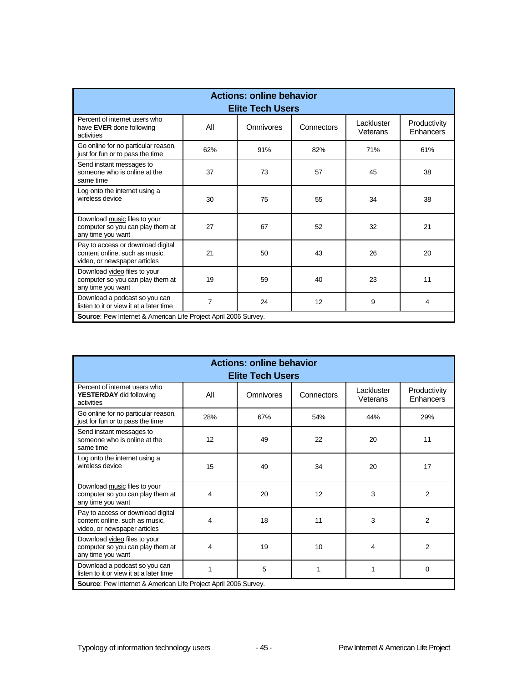| <b>Actions: online behavior</b><br><b>Elite Tech Users</b>                                          |     |           |            |                        |                           |  |  |  |  |
|-----------------------------------------------------------------------------------------------------|-----|-----------|------------|------------------------|---------------------------|--|--|--|--|
| Percent of internet users who<br>have <b>EVER</b> done following<br>activities                      | All | Omnivores | Connectors | Lackluster<br>Veterans | Productivity<br>Enhancers |  |  |  |  |
| Go online for no particular reason,<br>just for fun or to pass the time                             | 62% | 91%       | 82%        | 71%                    | 61%                       |  |  |  |  |
| Send instant messages to<br>someone who is online at the<br>same time                               | 37  | 73        | 57         | 45                     | 38                        |  |  |  |  |
| Log onto the internet using a<br>wireless device                                                    | 30  | 75        | 55         | 34                     | 38                        |  |  |  |  |
| Download music files to your<br>computer so you can play them at<br>any time you want               | 27  | 67        | 52         | 32                     | 21                        |  |  |  |  |
| Pay to access or download digital<br>content online, such as music,<br>video, or newspaper articles | 21  | 50        | 43         | 26                     | 20                        |  |  |  |  |
| Download video files to your<br>computer so you can play them at<br>any time you want               | 19  | 59        | 40         | 23                     | 11                        |  |  |  |  |
| Download a podcast so you can<br>listen to it or view it at a later time                            | 7   | 24        | 12         | 9                      | 4                         |  |  |  |  |
| <b>Source:</b> Pew Internet & American Life Project April 2006 Survey.                              |     |           |            |                        |                           |  |  |  |  |

| <b>Actions: online behavior</b><br><b>Elite Tech Users</b>                                          |     |           |            |                        |                           |  |  |  |  |
|-----------------------------------------------------------------------------------------------------|-----|-----------|------------|------------------------|---------------------------|--|--|--|--|
| Percent of internet users who<br>YESTERDAY did following<br>activities                              | All | Omnivores | Connectors | Lackluster<br>Veterans | Productivity<br>Enhancers |  |  |  |  |
| Go online for no particular reason,<br>just for fun or to pass the time                             | 28% | 67%       | 54%        | 44%                    | 29%                       |  |  |  |  |
| Send instant messages to<br>someone who is online at the<br>same time                               | 12  | 49        | 22         | 20                     | 11                        |  |  |  |  |
| Log onto the internet using a<br>wireless device                                                    | 15  | 49        | 34         | 20                     | 17                        |  |  |  |  |
| Download music files to your<br>computer so you can play them at<br>any time you want               | 4   | 20        | 12         | 3                      | $\overline{2}$            |  |  |  |  |
| Pay to access or download digital<br>content online, such as music,<br>video, or newspaper articles | 4   | 18        | 11         | 3                      | $\overline{2}$            |  |  |  |  |
| Download video files to your<br>computer so you can play them at<br>any time you want               | 4   | 19        | 10         | 4                      | $\overline{2}$            |  |  |  |  |
| Download a podcast so you can<br>listen to it or view it at a later time                            |     | 5         | 1          | 1                      | $\mathbf 0$               |  |  |  |  |
| Source: Pew Internet & American Life Project April 2006 Survey.                                     |     |           |            |                        |                           |  |  |  |  |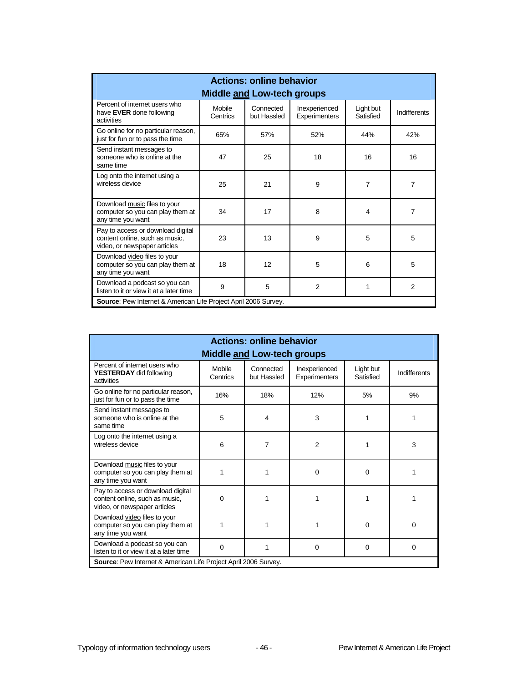| <b>Actions: online behavior</b>                                                                     |                    |                          |                                |                        |                |  |  |  |  |
|-----------------------------------------------------------------------------------------------------|--------------------|--------------------------|--------------------------------|------------------------|----------------|--|--|--|--|
| Middle and Low-tech groups                                                                          |                    |                          |                                |                        |                |  |  |  |  |
| Percent of internet users who<br>have EVER done following<br>activities                             | Mobile<br>Centrics | Connected<br>but Hassled | Inexperienced<br>Experimenters | Light but<br>Satisfied | Indifferents   |  |  |  |  |
| Go online for no particular reason,<br>just for fun or to pass the time                             | 65%                | 57%                      | 52%                            | 44%                    | 42%            |  |  |  |  |
| Send instant messages to<br>someone who is online at the<br>same time                               | 47                 | 25                       | 18                             | 16                     | 16             |  |  |  |  |
| Log onto the internet using a<br>wireless device                                                    | 25                 | 21                       | 9                              | 7                      | 7              |  |  |  |  |
| Download music files to your<br>computer so you can play them at<br>any time you want               | 34                 | 17                       | 8                              | 4                      | 7              |  |  |  |  |
| Pay to access or download digital<br>content online, such as music,<br>video, or newspaper articles | 23                 | 13                       | 9                              | 5                      | 5              |  |  |  |  |
| Download video files to your<br>computer so you can play them at<br>any time you want               | 18                 | 12                       | 5                              | 6                      | 5              |  |  |  |  |
| Download a podcast so you can<br>listen to it or view it at a later time                            | 9                  | 5                        | $\overline{2}$                 | 1                      | $\overline{2}$ |  |  |  |  |
| <b>Source:</b> Pew Internet & American Life Project April 2006 Survey.                              |                    |                          |                                |                        |                |  |  |  |  |

| <b>Actions: online behavior</b><br><b>Middle and Low-tech groups</b>                                |                    |                          |                                |                        |              |  |  |  |  |
|-----------------------------------------------------------------------------------------------------|--------------------|--------------------------|--------------------------------|------------------------|--------------|--|--|--|--|
| Percent of internet users who<br><b>YESTERDAY</b> did following<br>activities                       | Mobile<br>Centrics | Connected<br>but Hassled | Inexperienced<br>Experimenters | Light but<br>Satisfied | Indifferents |  |  |  |  |
| Go online for no particular reason,<br>just for fun or to pass the time                             | 16%                | 18%                      | 12%                            | 5%                     | 9%           |  |  |  |  |
| Send instant messages to<br>someone who is online at the<br>same time                               | 5                  | 4                        | 3                              | 1                      |              |  |  |  |  |
| Log onto the internet using a<br>wireless device                                                    | 6                  | 7                        | $\overline{2}$                 | 1                      | 3            |  |  |  |  |
| Download music files to your<br>computer so you can play them at<br>any time you want               | 1                  | 1                        | $\Omega$                       | $\Omega$               | 1            |  |  |  |  |
| Pay to access or download digital<br>content online, such as music,<br>video, or newspaper articles | 0                  | 1                        |                                | 1                      |              |  |  |  |  |
| Download video files to your<br>computer so you can play them at<br>any time you want               | 1                  | 1                        |                                | $\Omega$               | $\Omega$     |  |  |  |  |
| Download a podcast so you can<br>listen to it or view it at a later time                            | $\Omega$           | 1                        | 0                              | 0                      | $\Omega$     |  |  |  |  |
| <b>Source: Pew Internet &amp; American Life Project April 2006 Survey.</b>                          |                    |                          |                                |                        |              |  |  |  |  |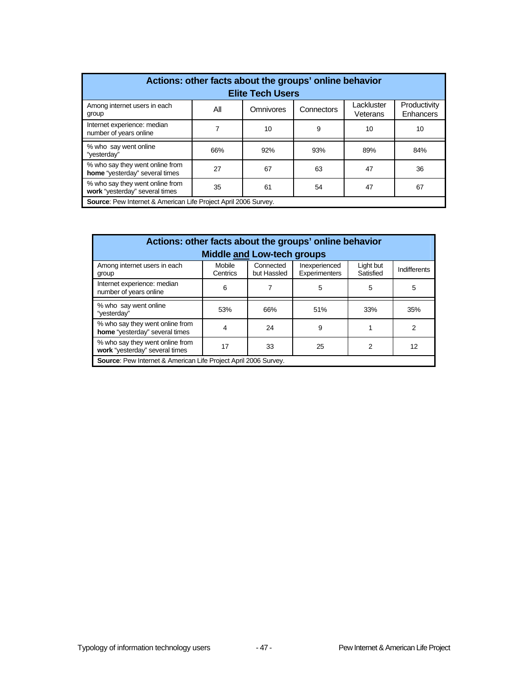| Actions: other facts about the groups' online behavior<br><b>Elite Tech Users</b> |     |           |            |                        |                           |  |  |  |
|-----------------------------------------------------------------------------------|-----|-----------|------------|------------------------|---------------------------|--|--|--|
| Among internet users in each<br>group                                             | Αll | Omnivores | Connectors | Lackluster<br>Veterans | Productivity<br>Enhancers |  |  |  |
| Internet experience: median<br>number of years online                             |     | 10        | 9          | 10                     | 10                        |  |  |  |
| % who say went online<br>"yesterday"                                              | 66% | 92%       | 93%        | 89%                    | 84%                       |  |  |  |
| % who say they went online from<br>home "yesterday" several times                 | 27  | 67        | 63         | 47                     | 36                        |  |  |  |
| % who say they went online from<br>work "yesterday" several times                 | 35  | 61        | 54         | 47                     | 67                        |  |  |  |
| <b>Source: Pew Internet &amp; American Life Project April 2006 Survey.</b>        |     |           |            |                        |                           |  |  |  |

| Actions: other facts about the groups' online behavior            |                            |                          |                                |                        |              |  |  |  |  |
|-------------------------------------------------------------------|----------------------------|--------------------------|--------------------------------|------------------------|--------------|--|--|--|--|
|                                                                   | Middle and Low-tech groups |                          |                                |                        |              |  |  |  |  |
| Among internet users in each<br>group                             | Mobile<br>Centrics         | Connected<br>but Hassled | Inexperienced<br>Experimenters | Light but<br>Satisfied | Indifferents |  |  |  |  |
| Internet experience: median<br>number of years online             | 6                          |                          | 5                              | 5                      | 5            |  |  |  |  |
| % who say went online<br>"vesterday"                              | 53%                        | 66%                      | 51%                            | 33%                    | 35%          |  |  |  |  |
| % who say they went online from<br>home "yesterday" several times | 4                          | 24                       | 9                              |                        | 2            |  |  |  |  |
| % who say they went online from<br>work "yesterday" several times | 17                         | 33                       | 25                             | 2                      | 12           |  |  |  |  |
| Source: Pew Internet & American Life Project April 2006 Survey.   |                            |                          |                                |                        |              |  |  |  |  |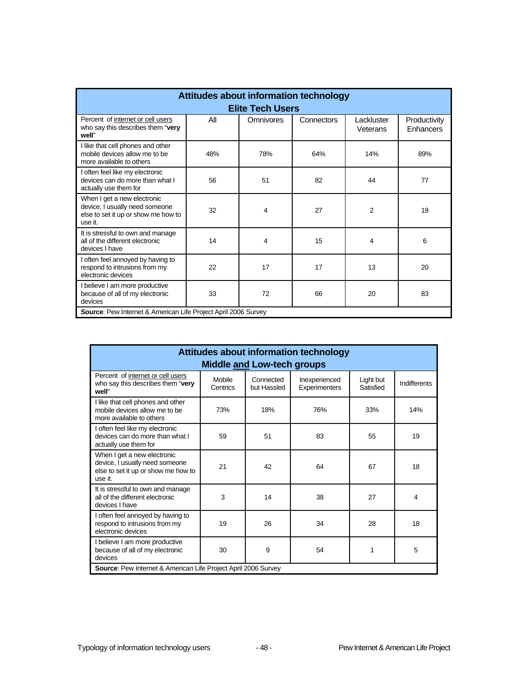| Attitudes about information technology<br><b>Elite Tech Users</b>                                               |     |           |                   |                        |                           |  |  |  |  |
|-----------------------------------------------------------------------------------------------------------------|-----|-----------|-------------------|------------------------|---------------------------|--|--|--|--|
| Percent of internet or cell users<br>who say this describes them "very<br>well"                                 | All | Omnivores | <b>Connectors</b> | Lackluster<br>Veterans | Productivity<br>Enhancers |  |  |  |  |
| I like that cell phones and other<br>mobile devices allow me to be<br>more available to others                  | 48% | 78%       | 64%               | 14%                    | 89%                       |  |  |  |  |
| I often feel like my electronic<br>devices can do more than what I<br>actually use them for                     | 56  | 51        | 82                | 44                     | 77                        |  |  |  |  |
| When I get a new electronic<br>device, I usually need someone<br>else to set it up or show me how to<br>use it. | 32  | 4         | 27                | $\overline{2}$         | 19                        |  |  |  |  |
| It is stressful to own and manage<br>all of the different electronic<br>devices I have                          | 14  | 4         | 15                | 4                      | 6                         |  |  |  |  |
| I often feel annoyed by having to<br>respond to intrusions from my<br>electronic devices                        | 22  | 17        | 17                | 13                     | 20                        |  |  |  |  |
| I believe I am more productive<br>because of all of my electronic<br>devices                                    | 33  | 72        | 66                | 20                     | 83                        |  |  |  |  |
| Source: Pew Internet & American Life Project April 2006 Survey                                                  |     |           |                   |                        |                           |  |  |  |  |

| Attitudes about information technology<br><b>Middle and Low-tech groups</b>                                     |                    |                          |                                |                        |              |  |  |  |  |
|-----------------------------------------------------------------------------------------------------------------|--------------------|--------------------------|--------------------------------|------------------------|--------------|--|--|--|--|
| Percent of internet or cell users<br>who say this describes them "very<br>well"                                 | Mobile<br>Centrics | Connected<br>but Hassled | Inexperienced<br>Experimenters | Light but<br>Satisfied | Indifferents |  |  |  |  |
| I like that cell phones and other<br>mobile devices allow me to be<br>more available to others                  | 73%                | 18%                      | 76%                            | 33%                    | 14%          |  |  |  |  |
| I often feel like my electronic<br>devices can do more than what I<br>actually use them for                     | 59                 | 51                       | 83                             | 55                     | 19           |  |  |  |  |
| When I get a new electronic<br>device, I usually need someone<br>else to set it up or show me how to<br>use it. | 21                 | 42                       | 64                             | 67                     | 18           |  |  |  |  |
| It is stressful to own and manage<br>all of the different electronic<br>devices I have                          | 3                  | 14                       | 38                             | 27                     | 4            |  |  |  |  |
| I often feel annoyed by having to<br>respond to intrusions from my<br>electronic devices                        | 19                 | 26                       | 34                             | 28                     | 18           |  |  |  |  |
| I believe I am more productive<br>because of all of my electronic<br>devices                                    | 30                 | 9                        | 54                             | 1                      | 5            |  |  |  |  |
| Source: Pew Internet & American Life Project April 2006 Survey                                                  |                    |                          |                                |                        |              |  |  |  |  |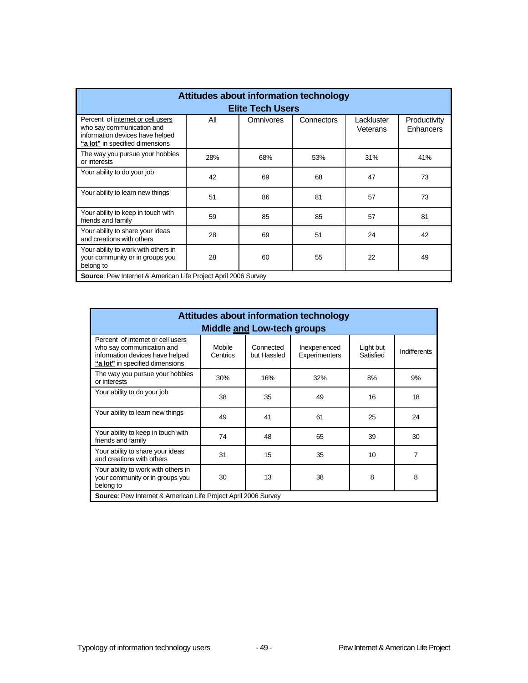| Attitudes about information technology<br><b>Elite Tech Users</b>                                                                    |     |           |            |                        |                           |  |  |  |  |
|--------------------------------------------------------------------------------------------------------------------------------------|-----|-----------|------------|------------------------|---------------------------|--|--|--|--|
| Percent of internet or cell users<br>who say communication and<br>information devices have helped<br>"a lot" in specified dimensions | All | Omnivores | Connectors | Lackluster<br>Veterans | Productivity<br>Enhancers |  |  |  |  |
| The way you pursue your hobbies<br>or interests                                                                                      | 28% | 68%       | 53%        | 31%                    | 41%                       |  |  |  |  |
| Your ability to do your job                                                                                                          | 42  | 69        | 68         | 47                     | 73                        |  |  |  |  |
| Your ability to learn new things                                                                                                     | 51  | 86        | 81         | 57                     | 73                        |  |  |  |  |
| Your ability to keep in touch with<br>friends and family                                                                             | 59  | 85        | 85         | 57                     | 81                        |  |  |  |  |
| Your ability to share your ideas<br>and creations with others                                                                        | 28  | 69        | 51         | 24                     | 42                        |  |  |  |  |
| Your ability to work with others in<br>your community or in groups you<br>belong to                                                  | 28  | 60        | 55         | 22                     | 49                        |  |  |  |  |
| <b>Source: Pew Internet &amp; American Life Project April 2006 Survey</b>                                                            |     |           |            |                        |                           |  |  |  |  |

| Attitudes about information technology                                                                                               |                    |                          |                                |                        |              |  |  |
|--------------------------------------------------------------------------------------------------------------------------------------|--------------------|--------------------------|--------------------------------|------------------------|--------------|--|--|
| <b>Middle and Low-tech groups</b>                                                                                                    |                    |                          |                                |                        |              |  |  |
| Percent of internet or cell users<br>who say communication and<br>information devices have helped<br>"a lot" in specified dimensions | Mobile<br>Centrics | Connected<br>but Hassled | Inexperienced<br>Experimenters | Light but<br>Satisfied | Indifferents |  |  |
| The way you pursue your hobbies<br>or interests                                                                                      | 30%                | 16%                      | 32%                            | 8%                     | 9%           |  |  |
| Your ability to do your job                                                                                                          | 38                 | 35                       | 49                             | 16                     | 18           |  |  |
| Your ability to learn new things                                                                                                     | 49                 | 41                       | 61                             | 25                     | 24           |  |  |
| Your ability to keep in touch with<br>friends and family                                                                             | 74                 | 48                       | 65                             | 39                     | 30           |  |  |
| Your ability to share your ideas<br>and creations with others                                                                        | 31                 | 15                       | 35                             | 10                     | 7            |  |  |
| Your ability to work with others in<br>your community or in groups you<br>belong to                                                  | 30                 | 13                       | 38                             | 8                      | 8            |  |  |
| Source: Pew Internet & American Life Project April 2006 Survey                                                                       |                    |                          |                                |                        |              |  |  |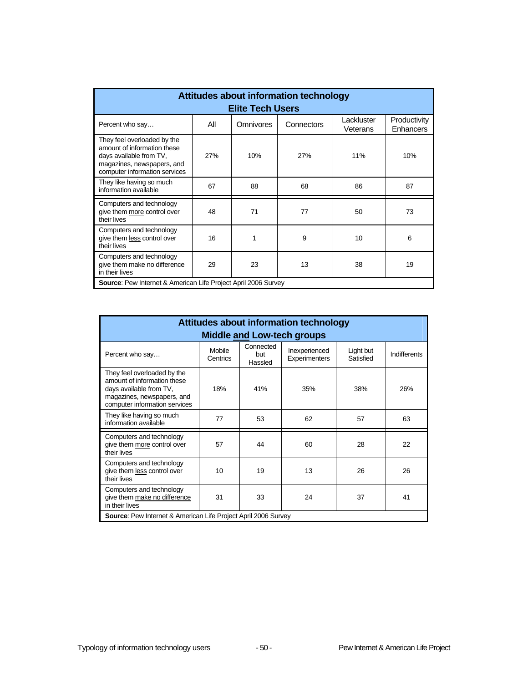| Attitudes about information technology<br><b>Elite Tech Users</b>                                                                                    |     |           |            |                        |                                  |  |  |
|------------------------------------------------------------------------------------------------------------------------------------------------------|-----|-----------|------------|------------------------|----------------------------------|--|--|
| Percent who say                                                                                                                                      | All | Omnivores | Connectors | Lackluster<br>Veterans | Productivity<br><b>Enhancers</b> |  |  |
| They feel overloaded by the<br>amount of information these<br>days available from TV,<br>magazines, newspapers, and<br>computer information services | 27% | 10%       | 27%        | 11%                    | 10%                              |  |  |
| They like having so much<br>information available                                                                                                    | 67  | 88        | 68         | 86                     | 87                               |  |  |
| Computers and technology<br>give them more control over<br>their lives                                                                               | 48  | 71        | 77         | 50                     | 73                               |  |  |
| Computers and technology<br>give them less control over<br>their lives                                                                               | 16  |           | 9          | 10                     | 6                                |  |  |
| Computers and technology<br>give them make no difference<br>in their lives                                                                           | 29  | 23        | 13         | 38                     | 19                               |  |  |
| <b>Source: Pew Internet &amp; American Life Project April 2006 Survey</b>                                                                            |     |           |            |                        |                                  |  |  |

| Attitudes about information technology                                                                                                               |                    |                             |                                       |                        |              |  |  |
|------------------------------------------------------------------------------------------------------------------------------------------------------|--------------------|-----------------------------|---------------------------------------|------------------------|--------------|--|--|
| <b>Middle and Low-tech groups</b>                                                                                                                    |                    |                             |                                       |                        |              |  |  |
| Percent who say                                                                                                                                      | Mobile<br>Centrics | Connected<br>but<br>Hassled | Inexperienced<br><b>Experimenters</b> | Light but<br>Satisfied | Indifferents |  |  |
| They feel overloaded by the<br>amount of information these<br>days available from TV,<br>magazines, newspapers, and<br>computer information services | 18%                | 41%                         | 35%                                   | 38%                    | 26%          |  |  |
| They like having so much<br>information available                                                                                                    | 77                 | 53                          | 62                                    | 57                     | 63           |  |  |
| Computers and technology<br>give them more control over<br>their lives                                                                               | 57                 | 44                          | 60                                    | 28                     | 22           |  |  |
| Computers and technology<br>give them less control over<br>their lives                                                                               | 10                 | 19                          | 13                                    | 26                     | 26           |  |  |
| Computers and technology<br>give them make no difference<br>in their lives                                                                           | 31                 | 33                          | 24                                    | 37                     | 41           |  |  |
| <b>Source:</b> Pew Internet & American Life Project April 2006 Survey                                                                                |                    |                             |                                       |                        |              |  |  |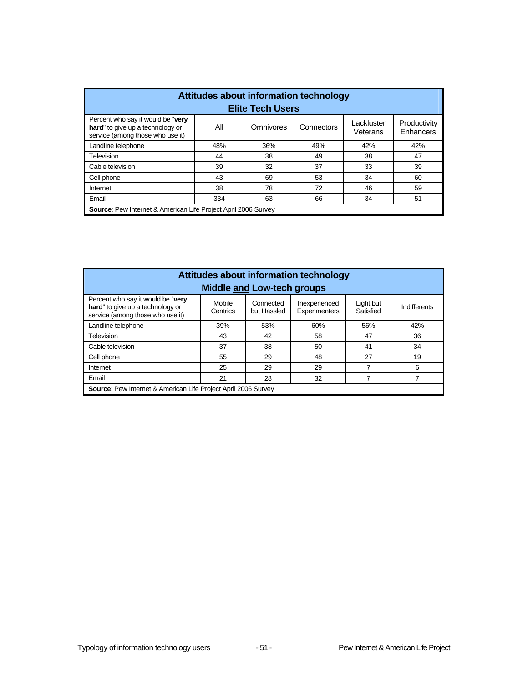| Attitudes about information technology<br><b>Elite Tech Users</b>                                          |     |           |            |                        |                           |  |  |
|------------------------------------------------------------------------------------------------------------|-----|-----------|------------|------------------------|---------------------------|--|--|
| Percent who say it would be "very"<br>hard" to give up a technology or<br>service (among those who use it) | All | Omnivores | Connectors | Lackluster<br>Veterans | Productivity<br>Enhancers |  |  |
| Landline telephone                                                                                         | 48% | 36%       | 49%        | 42%                    | 42%                       |  |  |
| <b>Television</b>                                                                                          | 44  | 38        | 49         | 38                     | 47                        |  |  |
| Cable television                                                                                           | 39  | 32        | 37         | 33                     | 39                        |  |  |
| Cell phone                                                                                                 | 43  | 69        | 53         | 34                     | 60                        |  |  |
| Internet                                                                                                   | 38  | 78        | 72         | 46                     | 59                        |  |  |
| Email                                                                                                      | 334 | 63        | 66         | 34                     | 51                        |  |  |
| <b>Source: Pew Internet &amp; American Life Project April 2006 Survey</b>                                  |     |           |            |                        |                           |  |  |

| Attitudes about information technology<br>Middle and Low-tech groups                                       |                    |                          |                                |                        |              |  |  |
|------------------------------------------------------------------------------------------------------------|--------------------|--------------------------|--------------------------------|------------------------|--------------|--|--|
| Percent who say it would be "very"<br>hard" to give up a technology or<br>service (among those who use it) | Mobile<br>Centrics | Connected<br>but Hassled | Inexperienced<br>Experimenters | Light but<br>Satisfied | Indifferents |  |  |
| Landline telephone                                                                                         | 39%                | 53%                      | 60%                            | 56%                    | 42%          |  |  |
| Television                                                                                                 | 43                 | 42                       | 58                             | 47                     | 36           |  |  |
| Cable television                                                                                           | 37                 | 38                       | 50                             | 41                     | 34           |  |  |
| Cell phone                                                                                                 | 55                 | 29                       | 48                             | 27                     | 19           |  |  |
| Internet                                                                                                   | 25                 | 29                       | 29                             | 7                      | 6            |  |  |
| Email                                                                                                      | 21                 | 28                       | 32                             |                        |              |  |  |
| <b>Source: Pew Internet &amp; American Life Project April 2006 Survey</b>                                  |                    |                          |                                |                        |              |  |  |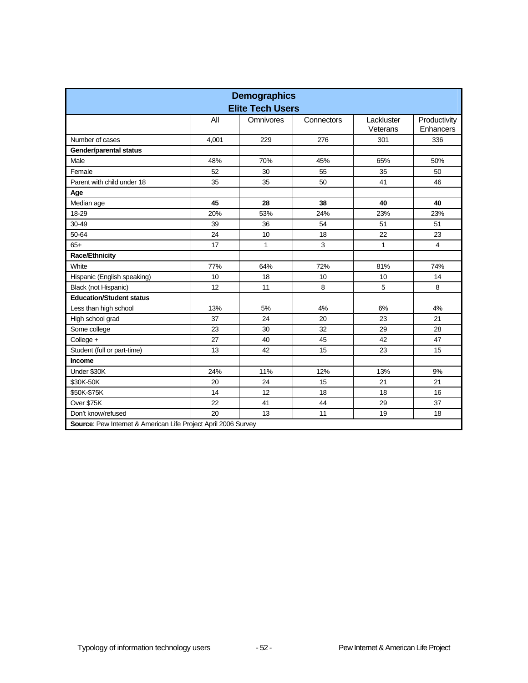| <b>Demographics</b><br><b>Elite Tech Users</b>                 |       |           |            |                        |                           |  |  |
|----------------------------------------------------------------|-------|-----------|------------|------------------------|---------------------------|--|--|
|                                                                | All   | Omnivores | Connectors | Lackluster<br>Veterans | Productivity<br>Enhancers |  |  |
| Number of cases                                                | 4,001 | 229       | 276        | 301                    | 336                       |  |  |
| Gender/parental status                                         |       |           |            |                        |                           |  |  |
| Male                                                           | 48%   | 70%       | 45%        | 65%                    | 50%                       |  |  |
| Female                                                         | 52    | 30        | 55         | 35                     | 50                        |  |  |
| Parent with child under 18                                     | 35    | 35        | 50         | 41                     | 46                        |  |  |
| Age                                                            |       |           |            |                        |                           |  |  |
| Median age                                                     | 45    | 28        | 38         | 40                     | 40                        |  |  |
| 18-29                                                          | 20%   | 53%       | 24%        | 23%                    | 23%                       |  |  |
| 30-49                                                          | 39    | 36        | 54         | 51                     | 51                        |  |  |
| 50-64                                                          | 24    | 10        | 18         | 22                     | 23                        |  |  |
| $65+$                                                          | 17    | 1         | 3          | 1                      | $\overline{4}$            |  |  |
| <b>Race/Ethnicity</b>                                          |       |           |            |                        |                           |  |  |
| White                                                          | 77%   | 64%       | 72%        | 81%                    | 74%                       |  |  |
| Hispanic (English speaking)                                    | 10    | 18        | 10         | 10                     | 14                        |  |  |
| Black (not Hispanic)                                           | 12    | 11        | 8          | 5                      | 8                         |  |  |
| <b>Education/Student status</b>                                |       |           |            |                        |                           |  |  |
| Less than high school                                          | 13%   | 5%        | 4%         | 6%                     | 4%                        |  |  |
| High school grad                                               | 37    | 24        | 20         | 23                     | 21                        |  |  |
| Some college                                                   | 23    | 30        | 32         | 29                     | 28                        |  |  |
| College +                                                      | 27    | 40        | 45         | 42                     | 47                        |  |  |
| Student (full or part-time)                                    | 13    | 42        | 15         | 23                     | 15                        |  |  |
| Income                                                         |       |           |            |                        |                           |  |  |
| Under \$30K                                                    | 24%   | 11%       | 12%        | 13%                    | 9%                        |  |  |
| \$30K-50K                                                      | 20    | 24        | 15         | 21                     | 21                        |  |  |
| \$50K-\$75K                                                    | 14    | 12        | 18         | 18                     | 16                        |  |  |
| Over \$75K                                                     | 22    | 41        | 44         | 29                     | 37                        |  |  |
| Don't know/refused                                             | 20    | 13        | 11         | 19                     | 18                        |  |  |
| Source: Pew Internet & American Life Project April 2006 Survey |       |           |            |                        |                           |  |  |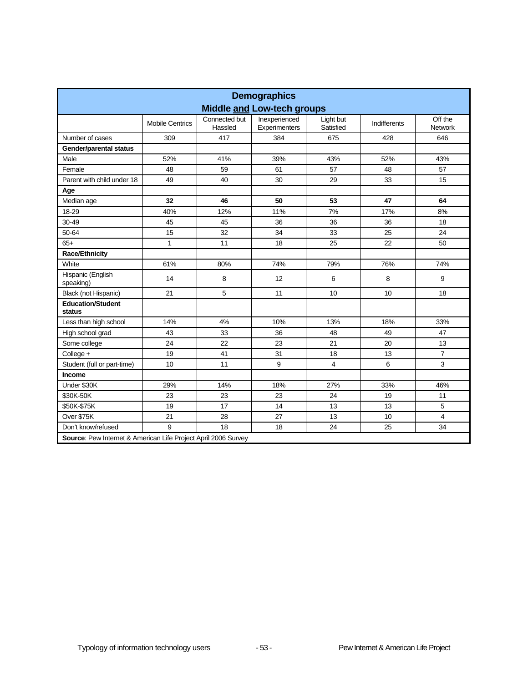| <b>Demographics</b>                                            |                        |                          |                                |                        |              |                           |  |
|----------------------------------------------------------------|------------------------|--------------------------|--------------------------------|------------------------|--------------|---------------------------|--|
| <b>Middle and Low-tech groups</b>                              |                        |                          |                                |                        |              |                           |  |
|                                                                | <b>Mobile Centrics</b> | Connected but<br>Hassled | Inexperienced<br>Experimenters | Light but<br>Satisfied | Indifferents | Off the<br><b>Network</b> |  |
| Number of cases                                                | 309                    | 417                      | 384                            | 675                    | 428          | 646                       |  |
| Gender/parental status                                         |                        |                          |                                |                        |              |                           |  |
| Male                                                           | 52%                    | 41%                      | 39%                            | 43%                    | 52%          | 43%                       |  |
| Female                                                         | 48                     | 59                       | 61                             | 57                     | 48           | 57                        |  |
| Parent with child under 18                                     | 49                     | 40                       | 30                             | 29                     | 33           | 15                        |  |
| Age                                                            |                        |                          |                                |                        |              |                           |  |
| Median age                                                     | 32                     | 46                       | 50                             | 53                     | 47           | 64                        |  |
| 18-29                                                          | 40%                    | 12%                      | 11%                            | 7%                     | 17%          | 8%                        |  |
| 30-49                                                          | 45                     | 45                       | 36                             | 36                     | 36           | 18                        |  |
| 50-64                                                          | 15                     | 32                       | 34                             | 33                     | 25           | 24                        |  |
| $65+$                                                          | $\mathbf{1}$           | 11                       | 18                             | 25                     | 22           | 50                        |  |
| Race/Ethnicity                                                 |                        |                          |                                |                        |              |                           |  |
| White                                                          | 61%                    | 80%                      | 74%                            | 79%                    | 76%          | 74%                       |  |
| Hispanic (English<br>speaking)                                 | 14                     | 8                        | 12                             | 6                      | 8            | 9                         |  |
| Black (not Hispanic)                                           | 21                     | 5                        | 11                             | 10                     | 10           | 18                        |  |
| <b>Education/Student</b><br>status                             |                        |                          |                                |                        |              |                           |  |
| Less than high school                                          | 14%                    | 4%                       | 10%                            | 13%                    | 18%          | 33%                       |  |
| High school grad                                               | 43                     | 33                       | 36                             | 48                     | 49           | 47                        |  |
| Some college                                                   | 24                     | 22                       | 23                             | 21                     | 20           | 13                        |  |
| College +                                                      | 19                     | 41                       | 31                             | 18                     | 13           | $\overline{7}$            |  |
| Student (full or part-time)                                    | 10                     | 11                       | 9                              | $\overline{4}$         | 6            | 3                         |  |
| Income                                                         |                        |                          |                                |                        |              |                           |  |
| Under \$30K                                                    | 29%                    | 14%                      | 18%                            | 27%                    | 33%          | 46%                       |  |
| \$30K-50K                                                      | 23                     | 23                       | 23                             | 24                     | 19           | 11                        |  |
| \$50K-\$75K                                                    | 19                     | 17                       | 14                             | 13                     | 13           | 5                         |  |
| Over \$75K                                                     | 21                     | 28                       | 27                             | 13                     | 10           | $\overline{4}$            |  |
| Don't know/refused                                             | 9                      | 18                       | 18                             | 24                     | 25           | 34                        |  |
| Source: Pew Internet & American Life Project April 2006 Survey |                        |                          |                                |                        |              |                           |  |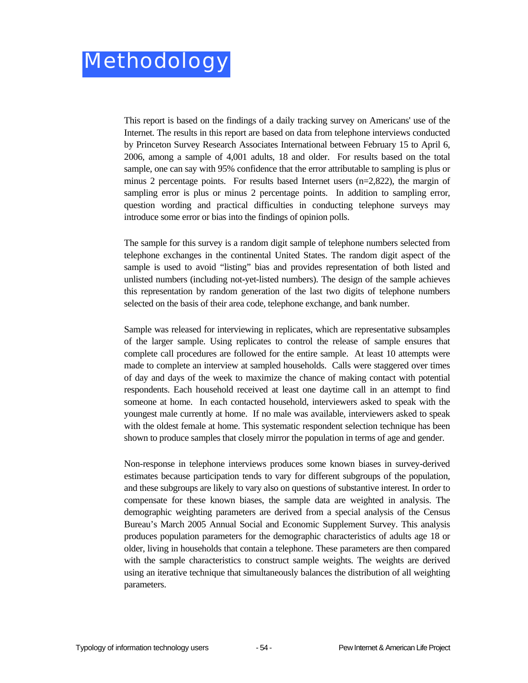This report is based on the findings of a daily tracking survey on Americans' use of the Internet. The results in this report are based on data from telephone interviews conducted by Princeton Survey Research Associates International between February 15 to April 6, 2006, among a sample of 4,001 adults, 18 and older. For results based on the total sample, one can say with 95% confidence that the error attributable to sampling is plus or minus 2 percentage points. For results based Internet users  $(n=2,822)$ , the margin of sampling error is plus or minus 2 percentage points. In addition to sampling error, question wording and practical difficulties in conducting telephone surveys may introduce some error or bias into the findings of opinion polls.

The sample for this survey is a random digit sample of telephone numbers selected from telephone exchanges in the continental United States. The random digit aspect of the sample is used to avoid "listing" bias and provides representation of both listed and unlisted numbers (including not-yet-listed numbers). The design of the sample achieves this representation by random generation of the last two digits of telephone numbers selected on the basis of their area code, telephone exchange, and bank number.

Sample was released for interviewing in replicates, which are representative subsamples of the larger sample. Using replicates to control the release of sample ensures that complete call procedures are followed for the entire sample. At least 10 attempts were made to complete an interview at sampled households. Calls were staggered over times of day and days of the week to maximize the chance of making contact with potential respondents. Each household received at least one daytime call in an attempt to find someone at home. In each contacted household, interviewers asked to speak with the youngest male currently at home. If no male was available, interviewers asked to speak with the oldest female at home. This systematic respondent selection technique has been shown to produce samples that closely mirror the population in terms of age and gender.

Non-response in telephone interviews produces some known biases in survey-derived estimates because participation tends to vary for different subgroups of the population, and these subgroups are likely to vary also on questions of substantive interest. In order to compensate for these known biases, the sample data are weighted in analysis. The demographic weighting parameters are derived from a special analysis of the Census Bureau's March 2005 Annual Social and Economic Supplement Survey. This analysis produces population parameters for the demographic characteristics of adults age 18 or older, living in households that contain a telephone. These parameters are then compared with the sample characteristics to construct sample weights. The weights are derived using an iterative technique that simultaneously balances the distribution of all weighting parameters.